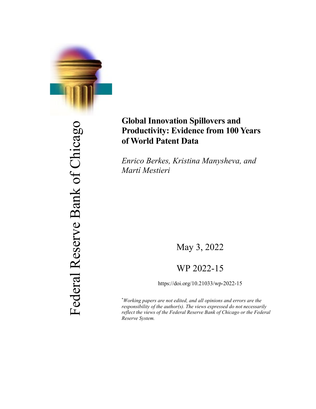

Federal Reserve Bank of Chicago Federal Reserve Bank of Chicago

# **Global Innovation Spillovers and Productivity: Evidence from 100 Years of World Patent Data**

*Enrico Berkes, Kristina Manysheva, and Martí Mestieri*

May 3, 2022

## WP 2022-15

https://doi.org/10.21033/wp-2022-15

\* *Working papers are not edited, and all opinions and errors are the responsibility of the author(s). The views expressed do not necessarily reflect the views of the Federal Reserve Bank of Chicago or the Federal Reserve System.*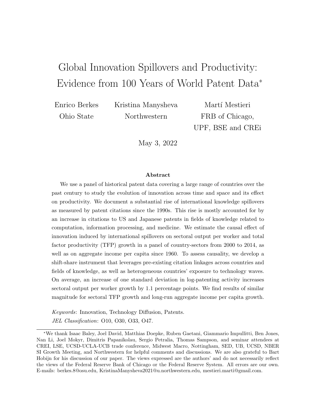# <span id="page-1-0"></span>Global Innovation Spillovers and Productivity: Evidence from 100 Years of World Patent Data<sup>∗</sup>

Enrico Berkes Ohio State

Kristina Manysheva Northwestern

Martí Mestieri FRB of Chicago, UPF, BSE and CREi

May 3, 2022

#### Abstract

We use a panel of historical patent data covering a large range of countries over the past century to study the evolution of innovation across time and space and its effect on productivity. We document a substantial rise of international knowledge spillovers as measured by patent citations since the 1990s. This rise is mostly accounted for by an increase in citations to US and Japanese patents in fields of knowledge related to computation, information processing, and medicine. We estimate the causal effect of innovation induced by international spillovers on sectoral output per worker and total factor productivity (TFP) growth in a panel of country-sectors from 2000 to 2014, as well as on aggregate income per capita since 1960. To assess causality, we develop a shift-share instrument that leverages pre-existing citation linkages across countries and fields of knowledge, as well as heterogeneous countries' exposure to technology waves. On average, an increase of one standard deviation in log-patenting activity increases sectoral output per worker growth by 1.1 percentage points. We find results of similar magnitude for sectoral TFP growth and long-run aggregate income per capita growth.

Keywords: Innovation, Technology Diffusion, Patents. JEL Classification: O10, O30, O33, O47.

<sup>∗</sup>We thank Isaac Baley, Joel David, Matthias Doepke, Ruben Gaetani, Giammario Impullitti, Ben Jones, Nan Li, Joel Mokyr, Dimitris Papanikolau, Sergio Petralia, Thomas Sampson, and seminar attendees at CREI, LSE, UCSD-UCLA-UCB trade conference, Midwest Macro, Nottingham, SED, UB, UCSD, NBER SI Growth Meeting, and Northwestern for helpful comments and discussions. We are also grateful to Bart Hobijn for his discussion of our paper. The views expressed are the authors' and do not necessarily reflect the views of the Federal Reserve Bank of Chicago or the Federal Reserve System. All errors are our own. E-mails: berkes.8@osu.edu, KristinaManysheva2021@u.northwestern.edu, mestieri.marti@gmail.com.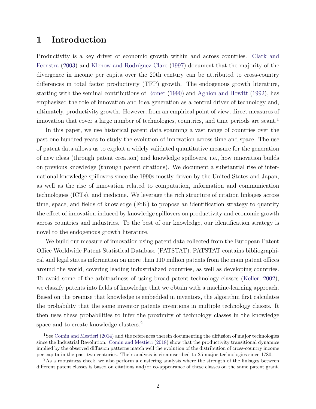### 1 Introduction

Productivity is a key driver of economic growth within and across countries. [Clark and](#page-36-0) [Feenstra](#page-36-0) [\(2003\)](#page-36-0) and Klenow and Rodríguez-Clare [\(1997\)](#page-38-0) document that the majority of the divergence in income per capita over the 20th century can be attributed to cross-country differences in total factor productivity (TFP) growth. The endogenous growth literature, starting with the seminal contributions of [Romer](#page-40-0) [\(1990\)](#page-40-0) and [Aghion and Howitt](#page-35-0) [\(1992\)](#page-35-0), has emphasized the role of innovation and idea generation as a central driver of technology and, ultimately, productivity growth. However, from an empirical point of view, direct measures of innovation that cover a large number of technologies, countries, and time periods are scant.<sup>1</sup>

In this paper, we use historical patent data spanning a vast range of countries over the past one hundred years to study the evolution of innovation across time and space. The use of patent data allows us to exploit a widely validated quantitative measure for the generation of new ideas (through patent creation) and knowledge spillovers, i.e., how innovation builds on previous knowledge (through patent citations). We document a substantial rise of international knowledge spillovers since the 1990s mostly driven by the United States and Japan, as well as the rise of innovation related to computation, information and communication technologies (ICTs), and medicine. We leverage the rich structure of citation linkages across time, space, and fields of knowledge (FoK) to propose an identification strategy to quantify the effect of innovation induced by knowledge spillovers on productivity and economic growth across countries and industries. To the best of our knowledge, our identification strategy is novel to the endogenous growth literature.

We build our measure of innovation using patent data collected from the European Patent Office Worldwide Patent Statistical Database (PATSTAT). PATSTAT contains bibliographical and legal status information on more than 110 million patents from the main patent offices around the world, covering leading industrialized countries, as well as developing countries. To avoid some of the arbitrariness of using broad patent technology classes [\(Keller,](#page-38-0) [2002\)](#page-38-0), we classify patents into fields of knowledge that we obtain with a machine-learning approach. Based on the premise that knowledge is embedded in inventors, the algorithm first calculates the probability that the same inventor patents inventions in multiple technology classes. It then uses these probabilities to infer the proximity of technology classes in the knowledge space and to create knowledge clusters.<sup>2</sup>

<sup>&</sup>lt;sup>1</sup>See [Comin and Mestieri](#page-36-0) [\(2014\)](#page-36-0) and the references therein documenting the diffusion of major technologies since the Industrial Revolution. [Comin and Mestieri](#page-37-0) [\(2018\)](#page-37-0) show that the productivity transitional dynamics implied by the observed diffusion patterns match well the evolution of the distribution of cross-country income per capita in the past two centuries. Their analysis is circumscribed to 25 major technologies since 1780.

<sup>&</sup>lt;sup>2</sup>As a robustness check, we also perform a clustering analysis where the strength of the linkages between different patent classes is based on citations and/or co-appearance of these classes on the same patent grant.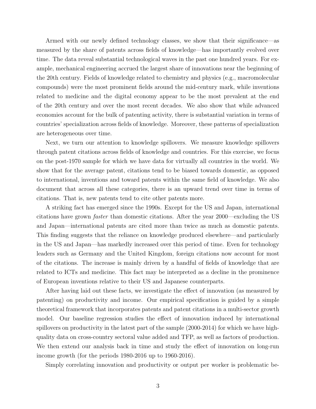Armed with our newly defined technology classes, we show that their significance—as measured by the share of patents across fields of knowledge—has importantly evolved over time. The data reveal substantial technological waves in the past one hundred years. For example, mechanical engineering accrued the largest share of innovations near the beginning of the 20th century. Fields of knowledge related to chemistry and physics (e.g., macromolecular compounds) were the most prominent fields around the mid-century mark, while inventions related to medicine and the digital economy appear to be the most prevalent at the end of the 20th century and over the most recent decades. We also show that while advanced economies account for the bulk of patenting activity, there is substantial variation in terms of countries' specialization across fields of knowledge. Moreover, these patterns of specialization are heterogeneous over time.

Next, we turn our attention to knowledge spillovers. We measure knowledge spillovers through patent citations across fields of knowledge and countries. For this exercise, we focus on the post-1970 sample for which we have data for virtually all countries in the world. We show that for the average patent, citations tend to be biased towards domestic, as opposed to international, inventions and toward patents within the same field of knowledge. We also document that across all these categories, there is an upward trend over time in terms of citations. That is, new patents tend to cite other patents more.

A striking fact has emerged since the 1990s. Except for the US and Japan, international citations have grown faster than domestic citations. After the year 2000—excluding the US and Japan—international patents are cited more than twice as much as domestic patents. This finding suggests that the reliance on knowledge produced elsewhere—and particularly in the US and Japan—has markedly increased over this period of time. Even for technology leaders such as Germany and the United Kingdom, foreign citations now account for most of the citations. The increase is mainly driven by a handful of fields of knowledge that are related to ICTs and medicine. This fact may be interpreted as a decline in the prominence of European inventions relative to their US and Japanese counterparts.

After having laid out these facts, we investigate the effect of innovation (as measured by patenting) on productivity and income. Our empirical specification is guided by a simple theoretical framework that incorporates patents and patent citations in a multi-sector growth model. Our baseline regression studies the effect of innovation induced by international spillovers on productivity in the latest part of the sample (2000-2014) for which we have highquality data on cross-country sectoral value added and TFP, as well as factors of production. We then extend our analysis back in time and study the effect of innovation on long-run income growth (for the periods 1980-2016 up to 1960-2016).

Simply correlating innovation and productivity or output per worker is problematic be-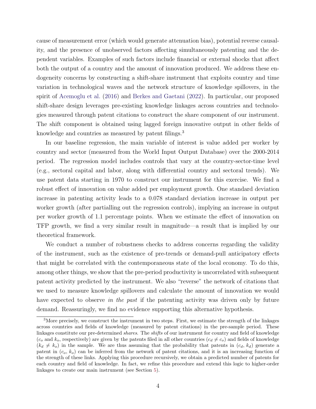cause of measurement error (which would generate attenuation bias), potential reverse causality, and the presence of unobserved factors affecting simultaneously patenting and the dependent variables. Examples of such factors include financial or external shocks that affect both the output of a country and the amount of innovation produced. We address these endogeneity concerns by constructing a shift-share instrument that exploits country and time variation in technological waves and the network structure of knowledge spillovers, in the spirit of [Acemoglu et al.](#page-35-0) [\(2016\)](#page-35-0) and [Berkes and Gaetani](#page-36-0) [\(2022\)](#page-36-0). In particular, our proposed shift-share design leverages pre-existing knowledge linkages across countries and technologies measured through patent citations to construct the share component of our instrument. The shift component is obtained using lagged foreign innovative output in other fields of knowledge and countries as measured by patent filings.<sup>3</sup>

In our baseline regression, the main variable of interest is value added per worker by country and sector (measured from the World Input Output Database) over the 2000-2014 period. The regression model includes controls that vary at the country-sector-time level (e.g., sectoral capital and labor, along with differential country and sectoral trends). We use patent data starting in 1970 to construct our instrument for this exercise. We find a robust effect of innovation on value added per employment growth. One standard deviation increase in patenting activity leads to a 0.078 standard deviation increase in output per worker growth (after partialling out the regression controls), implying an increase in output per worker growth of 1.1 percentage points. When we estimate the effect of innovation on TFP growth, we find a very similar result in magnitude—a result that is implied by our theoretical framework.

We conduct a number of robustness checks to address concerns regarding the validity of the instrument, such as the existence of pre-trends or demand-pull anticipatory effects that might be correlated with the contemporaneous state of the local economy. To do this, among other things, we show that the pre-period productivity is uncorrelated with subsequent patent activity predicted by the instrument. We also "reverse" the network of citations that we used to measure knowledge spillovers and calculate the amount of innovation we would have expected to observe in the past if the patenting activity was driven only by future demand. Reassuringly, we find no evidence supporting this alternative hypothesis.

<sup>&</sup>lt;sup>3</sup>More precisely, we construct the instrument in two steps. First, we estimate the strength of the linkages across countries and fields of knowledge (measured by patent citations) in the pre-sample period. These linkages constitute our pre-determined shares. The shifts of our instrument for country and field of knowledge  $(c<sub>o</sub>$  and  $k<sub>o</sub>$ , respectively) are given by the patents filed in all other countries  $(c<sub>d</sub> \neq c<sub>o</sub>)$  and fields of knowledge  $(k_d \neq k_o)$  in the sample. We are thus assuming that the probability that patents in  $(c_d, k_d)$  generate a patent in  $(c_o, k_o)$  can be inferred from the network of patent citations, and it is an increasing function of the strength of these links. Applying this procedure recursively, we obtain a predicted number of patents for each country and field of knowledge. In fact, we refine this procedure and extend this logic to higher-order linkages to create our main instrument (see Section [5\)](#page-18-0).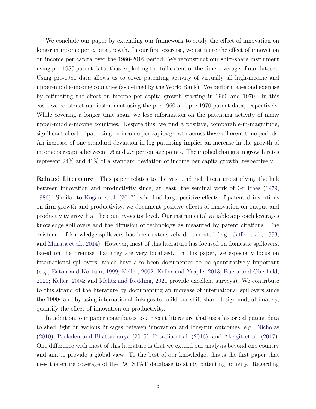We conclude our paper by extending our framework to study the effect of innovation on long-run income per capita growth. In our first exercise, we estimate the effect of innovation on income per capita over the 1980-2016 period. We reconstruct our shift-share instrument using pre-1980 patent data, thus exploiting the full extent of the time coverage of our dataset. Using pre-1980 data allows us to cover patenting activity of virtually all high-income and upper-middle-income countries (as defined by the World Bank). We perform a second exercise by estimating the effect on income per capita growth starting in 1960 and 1970. In this case, we construct our instrument using the pre-1960 and pre-1970 patent data, respectively. While covering a longer time span, we lose information on the patenting activity of many upper-middle-income countries. Despite this, we find a positive, comparable-in-magnitude, significant effect of patenting on income per capita growth across these different time periods. An increase of one standard deviation in log patenting implies an increase in the growth of income per capita between 1.6 and 2.8 percentage points. The implied changes in growth rates represent 24% and 41% of a standard deviation of income per capita growth, respectively.

Related Literature This paper relates to the vast and rich literature studying the link between innovation and productivity since, at least, the seminal work of [Griliches](#page-37-0) [\(1979,](#page-37-0) [1986\)](#page-37-0). Similar to [Kogan et al.](#page-38-0) [\(2017\)](#page-38-0), who find large positive effects of patented inventions on firm growth and productivity, we document positive effects of innovation on output and productivity growth at the country-sector level. Our instrumental variable approach leverages knowledge spillovers and the diffusion of technology as measured by patent citations. The existence of knowledge spillovers has been extensively documented (e.g., [Jaffe et al.,](#page-38-0) [1993,](#page-38-0) and [Murata et al.,](#page-39-0) [2014\)](#page-39-0). However, most of this literature has focused on domestic spillovers, based on the premise that they are very localized. In this paper, we especially focus on international spillovers, which have also been documented to be quantitatively important (e.g., [Eaton and Kortum,](#page-37-0) [1999;](#page-37-0) [Keller,](#page-38-0) [2002;](#page-38-0) [Keller and Yeaple,](#page-38-0) [2013;](#page-38-0) [Buera and Oberfield,](#page-36-0) [2020;](#page-36-0) [Keller,](#page-38-0) [2004;](#page-38-0) and [Melitz and Redding,](#page-39-0) [2021](#page-39-0) provide excellent surveys). We contribute to this strand of the literature by documenting an increase of international spillovers since the 1990s and by using international linkages to build our shift-share design and, ultimately, quantify the effect of innovation on productivity.

In addition, our paper contributes to a recent literature that uses historical patent data to shed light on various linkages between innovation and long-run outcomes, e.g., [Nicholas](#page-39-0) [\(2010\)](#page-39-0), [Packalen and Bhattacharya](#page-40-0) [\(2015\)](#page-40-0), [Petralia et al.](#page-40-0) [\(2016\)](#page-40-0), and [Akcigit et al.](#page-35-0) [\(2017\)](#page-35-0). One difference with most of this literature is that we extend our analysis beyond one country and aim to provide a global view. To the best of our knowledge, this is the first paper that uses the entire coverage of the PATSTAT database to study patenting activity. Regarding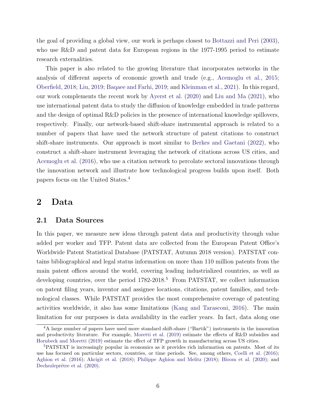<span id="page-6-0"></span>the goal of providing a global view, our work is perhaps closest to [Bottazzi and Peri](#page-36-0) [\(2003\)](#page-36-0), who use R&D and patent data for European regions in the 1977-1995 period to estimate research externalities.

This paper is also related to the growing literature that incorporates networks in the analysis of different aspects of economic growth and trade (e.g., [Acemoglu et al.,](#page-35-0) [2015;](#page-35-0) [Oberfield,](#page-40-0) [2018;](#page-40-0) [Liu,](#page-39-0) [2019;](#page-39-0) [Baqaee and Farhi,](#page-36-0) [2019;](#page-36-0) and [Kleinman et al.,](#page-38-0) [2021\)](#page-38-0). In this regard, our work complements the recent work by [Ayerst et al.](#page-35-0) [\(2020\)](#page-35-0) and [Liu and Ma](#page-39-0) [\(2021\)](#page-39-0), who use international patent data to study the diffusion of knowledge embedded in trade patterns and the design of optimal R&D policies in the presence of international knowledge spillovers, respectively. Finally, our network-based shift-share instrumental approach is related to a number of papers that have used the network structure of patent citations to construct shift-share instruments. Our approach is most similar to [Berkes and Gaetani](#page-36-0) [\(2022\)](#page-36-0), who construct a shift-share instrument leveraging the network of citations across US cities, and [Acemoglu et al.](#page-35-0) [\(2016\)](#page-35-0), who use a citation network to percolate sectoral innovations through the innovation network and illustrate how technological progress builds upon itself. Both papers focus on the United States.<sup>4</sup>

### 2 Data

#### 2.1 Data Sources

In this paper, we measure new ideas through patent data and productivity through value added per worker and TFP. Patent data are collected from the European Patent Office's Worldwide Patent Statistical Database (PATSTAT, Autumn 2018 version). PATSTAT contains bibliographical and legal status information on more than 110 million patents from the main patent offices around the world, covering leading industrialized countries, as well as developing countries, over the period  $1782$ -2018.<sup>5</sup> From PATSTAT, we collect information on patent filing years, inventor and assignee locations, citations, patent families, and technological classes. While PATSTAT provides the most comprehensive coverage of patenting activities worldwide, it also has some limitations [\(Kang and Tarasconi,](#page-38-0) [2016\)](#page-38-0). The main limitation for our purposes is data availability in the earlier years. In fact, data along one

<sup>4</sup>A large number of papers have used more standard shift-share ("Bartik") instruments in the innovation and productivity literature. For example, [Moretti et al.](#page-39-0) [\(2019\)](#page-39-0) estimate the effects of R&D subsidies and [Hornbeck and Moretti](#page-37-0) [\(2019\)](#page-37-0) estimate the effect of TFP growth in manufacturing across US cities.

<sup>5</sup>PATSTAT is increasingly popular in economics as it provides rich information on patents. Most of its use has focused on particular sectors, countries, or time periods. See, among others, [Coelli et al.](#page-36-0) [\(2016\)](#page-36-0); [Aghion et al.](#page-35-0) [\(2016\)](#page-35-0); [Akcigit et al.](#page-35-0) [\(2018\)](#page-35-0); [Philippe Aghion and Melitz](#page-40-0) [\(2018\)](#page-40-0); [Bloom et al.](#page-36-0) [\(2020\)](#page-36-0); and Dechezleprêtre et al.  $(2020)$ .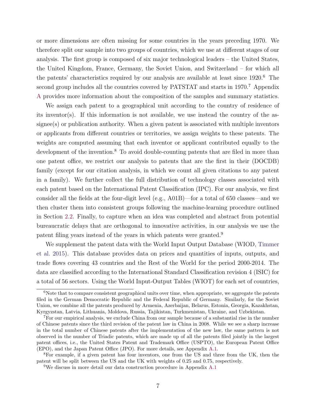or more dimensions are often missing for some countries in the years preceding 1970. We therefore split our sample into two groups of countries, which we use at different stages of our analysis. The first group is composed of six major technological leaders – the United States, the United Kingdom, France, Germany, the Soviet Union, and Switzerland – for which all the patents' characteristics required by our analysis are available at least since 1920.<sup>6</sup> The second group includes all the countries covered by PATSTAT and starts in 1970.<sup>7</sup> Appendix [A](#page-1-0) provides more information about the composition of the samples and summary statistics.

We assign each patent to a geographical unit according to the country of residence of its inventor(s). If this information is not available, we use instead the country of the assignee(s) or publication authority. When a given patent is associated with multiple inventors or applicants from different countries or territories, we assign weights to these patents. The weights are computed assuming that each inventor or applicant contributed equally to the development of the invention.<sup>8</sup> To avoid double-counting patents that are filed in more than one patent office, we restrict our analysis to patents that are the first in their (DOCDB) family (except for our citation analysis, in which we count all given citations to any patent in a family). We further collect the full distribution of technology classes associated with each patent based on the International Patent Classification (IPC). For our analysis, we first consider all the fields at the four-digit level (e.g., A01B)—for a total of 650 classes—and we then cluster them into consistent groups following the machine-learning procedure outlined in Section [2.2.](#page-8-0) Finally, to capture when an idea was completed and abstract from potential bureaucratic delays that are orthogonal to innovative activities, in our analysis we use the patent filing years instead of the years in which patents were granted.<sup>9</sup>

We supplement the patent data with the World Input Output Database (WIOD, [Timmer](#page-40-0) [et al.](#page-40-0) [2015\)](#page-40-0). This database provides data on prices and quantities of inputs, outputs, and trade flows covering 43 countries and the Rest of the World for the period 2000-2014. The data are classified according to the International Standard Classification revision 4 (ISIC) for a total of 56 sectors. Using the World Input-Output Tables (WIOT) for each set of countries,

 $6N$ ote that to compare consistent geographical units over time, when appropriate, we aggregate the patents filed in the German Democratic Republic and the Federal Republic of Germany. Similarly, for the Soviet Union, we combine all the patents produced by Armenia, Azerbaijan, Belarus, Estonia, Georgia, Kazakhstan, Kyrgyzstan, Latvia, Lithuania, Moldova, Russia, Tajikistan, Turkmenistan, Ukraine, and Uzbekistan.

<sup>7</sup>For our empirical analysis, we exclude China from our sample because of a substantial rise in the number of Chinese patents since the third revision of the patent law in China in 2008. While we see a sharp increase in the total number of Chinese patents after the implementation of the new law, the same pattern is not observed in the number of Triadic patents, which are made up of all the patents filed jointly in the largest patent offices, i.e., the United States Patent and Trademark Office (USPTO), the European Patent Office (EPO), and the Japan Patent Office (JPO). For more details, see Appendix [A.1.](#page-1-0)

<sup>8</sup>For example, if a given patent has four inventors, one from the US and three from the UK, then the patent will be split between the US and the UK with weights of 0.25 and 0.75, respectively.

<sup>9</sup>We discuss in more detail our data construction procedure in Appendix [A.1](#page-1-0)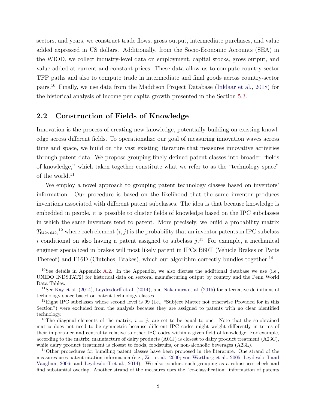<span id="page-8-0"></span>sectors, and years, we construct trade flows, gross output, intermediate purchases, and value added expressed in US dollars. Additionally, from the Socio-Economic Accounts (SEA) in the WIOD, we collect industry-level data on employment, capital stocks, gross output, and value added at current and constant prices. These data allow us to compute country-sector TFP paths and also to compute trade in intermediate and final goods across country-sector pairs.<sup>10</sup> Finally, we use data from the Maddison Project Database [\(Inklaar et al.,](#page-38-0) [2018\)](#page-38-0) for the historical analysis of income per capita growth presented in the Section [5.3.](#page-30-0)

#### 2.2 Construction of Fields of Knowledge

Innovation is the process of creating new knowledge, potentially building on existing knowledge across different fields. To operationalize our goal of measuring innovation waves across time and space, we build on the vast existing literature that measures innovative activities through patent data. We propose grouping finely defined patent classes into broader "fields of knowledge," which taken together constitute what we refer to as the "technology space" of the world.<sup>11</sup>

We employ a novel approach to grouping patent technology classes based on inventors' information. Our procedure is based on the likelihood that the same inventor produces inventions associated with different patent subclasses. The idea is that because knowledge is embedded in people, it is possible to cluster fields of knowledge based on the IPC subclasses in which the same inventors tend to patent. More precisely, we build a probability matrix  $T_{642\times642}$ ,<sup>12</sup> where each element  $(i, j)$  is the probability that an inventor patents in IPC subclass i conditional on also having a patent assigned to subclass  $j^{13}$ . For example, a mechanical engineer specialized in brakes will most likely patent in IPCs B60T (Vehicle Brakes or Parts Thereof) and F16D (Clutches, Brakes), which our algorithm correctly bundles together.<sup>14</sup>

<sup>14</sup>Other procedures for bundling patent classes have been proposed in the literature. One strand of the measures uses patent citation information (e.g., [Zitt et al.,](#page-41-0) [2000;](#page-41-0) [von Wartburg et al.,](#page-40-0) [2005;](#page-40-0) [Leydesdorff and](#page-39-0) [Vaughan,](#page-39-0) [2006;](#page-39-0) and [Leydesdorff et al.,](#page-39-0) [2014\)](#page-39-0). We also conduct such grouping as a robustness check and find substantial overlap. Another strand of the measures uses the "co-classification" information of patents

 $10$ See details in Appendix [A.2.](#page-1-0) In the Appendix, we also discuss the additional database we use (i.e., UNIDO INDSTAT2) for historical data on sectoral manufacturing output by country and the Penn World Data Tables.

<sup>11</sup>See [Kay et al.](#page-38-0) [\(2014\)](#page-38-0), [Leydesdorff et al.](#page-39-0) [\(2014\)](#page-39-0), and [Nakamura et al.](#page-39-0) [\(2015\)](#page-39-0) for alternative definitions of technology space based on patent technology classes.

 $12$ Eight IPC subclasses whose second level is 99 (i.e., "Subject Matter not otherwise Provided for in this Section") were excluded from the analysis because they are assigned to patents with no clear identified technology.

<sup>&</sup>lt;sup>13</sup>The diagonal elements of the matrix,  $i = j$ , are set to be equal to one. Note that the so-obtained matrix does not need to be symmetric because different IPC codes might weight differently in terms of their importance and centrality relative to other IPC codes within a given field of knowledge. For example, according to the matrix, manufacture of dairy products (A01J) is closest to dairy product treatment (A23C), while dairy product treatment is closest to foods, foodstuffs, or non-alcoholic beverages (A23L).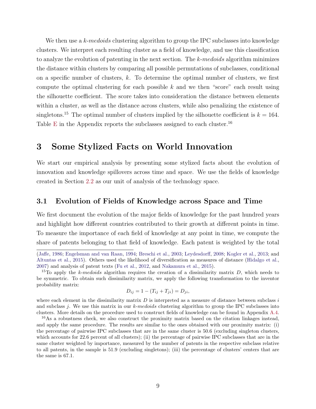We then use a k-medoids clustering algorithm to group the IPC subclasses into knowledge clusters. We interpret each resulting cluster as a field of knowledge, and use this classification to analyze the evolution of patenting in the next section. The k-medoids algorithm minimizes the distance within clusters by comparing all possible permutations of subclasses, conditional on a specific number of clusters, k. To determine the optimal number of clusters, we first compute the optimal clustering for each possible  $k$  and we then "score" each result using the silhouette coefficient. The score takes into consideration the distance between elements within a cluster, as well as the distance across clusters, while also penalizing the existence of singletons.<sup>15</sup> The optimal number of clusters implied by the silhouette coefficient is  $k = 164$ . Table [E](#page-1-0) in the Appendix reports the subclasses assigned to each cluster.<sup>16</sup>

### 3 Some Stylized Facts on World Innovation

We start our empirical analysis by presenting some stylized facts about the evolution of innovation and knowledge spillovers across time and space. We use the fields of knowledge created in Section [2.2](#page-8-0) as our unit of analysis of the technology space.

#### 3.1 Evolution of Fields of Knowledge across Space and Time

We first document the evolution of the major fields of knowledge for the past hundred years and highlight how different countries contributed to their growth at different points in time. To measure the importance of each field of knowledge at any point in time, we compute the share of patents belonging to that field of knowledge. Each patent is weighted by the total

$$
D_{ij} = 1 - (T_{ij} + T_{ji}) = D_{ji},
$$

where each element in the dissimilarity matrix  $D$  is interpreted as a measure of distance between subclass  $i$ and subclass j. We use this matrix in our k-medoids clustering algorithm to group the IPC subclasses into clusters. More details on the procedure used to construct fields of knowledge can be found in Appendix [A.4.](#page-1-0)

[<sup>\(</sup>Jaffe,](#page-38-0) [1986;](#page-38-0) [Engelsman and van Raan,](#page-37-0) [1994;](#page-37-0) [Breschi et al.,](#page-36-0) [2003;](#page-36-0) [Leydesdorff,](#page-39-0) [2008;](#page-39-0) [Kogler et al.,](#page-39-0) [2013;](#page-39-0) and [Altuntas et al.,](#page-35-0) [2015\)](#page-35-0). Others used the likelihood of diversification as measures of distance [\(Hidalgo et al.,](#page-37-0) [2007\)](#page-37-0) and analysis of patent texts [\(Fu et al.,](#page-37-0) [2012,](#page-37-0) and [Nakamura et al.,](#page-39-0) [2015\)](#page-39-0).

<sup>&</sup>lt;sup>15</sup>To apply the k-medoids algorithm requires the creation of a dissimilarity matrix  $D$ , which needs to be symmetric. To obtain such dissimilarity matrix, we apply the following transformation to the inventor probability matrix:

<sup>16</sup>As a robustness check, we also construct the proximity matrix based on the citation linkages instead, and apply the same procedure. The results are similar to the ones obtained with our proximity matrix: (i) the percentage of pairwise IPC subclasses that are in the same cluster is 50.6 (excluding singleton clusters, which accounts for 22.6 percent of all clusters); (ii) the percentage of pairwise IPC subclasses that are in the same cluster weighted by importance, measured by the number of patents in the respective subclass relative to all patents, in the sample is 51.9 (excluding singletons); (iii) the percentage of clusters' centers that are the same is 67.1.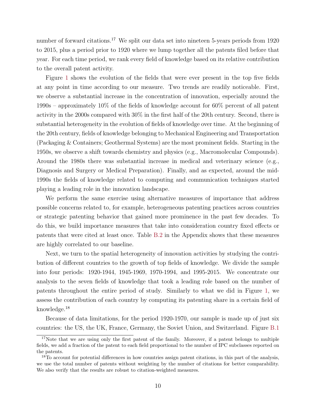number of forward citations.<sup>17</sup> We split our data set into nineteen 5-years periods from 1920 to 2015, plus a period prior to 1920 where we lump together all the patents filed before that year. For each time period, we rank every field of knowledge based on its relative contribution to the overall patent activity.

Figure [1](#page-11-0) shows the evolution of the fields that were ever present in the top five fields at any point in time according to our measure. Two trends are readily noticeable. First, we observe a substantial increase in the concentration of innovation, especially around the 1990s – approximately 10% of the fields of knowledge account for 60% percent of all patent activity in the 2000s compared with 30% in the first half of the 20th century. Second, there is substantial heterogeneity in the evolution of fields of knowledge over time. At the beginning of the 20th century, fields of knowledge belonging to Mechanical Engineering and Transportation (Packaging & Containers; Geothermal Systems) are the most prominent fields. Starting in the 1950s, we observe a shift towards chemistry and physics (e.g., Macromolecular Compounds). Around the 1980s there was substantial increase in medical and veterinary science (e.g., Diagnosis and Surgery or Medical Preparation). Finally, and as expected, around the mid-1990s the fields of knowledge related to computing and communication techniques started playing a leading role in the innovation landscape.

We perform the same exercise using alternative measures of importance that address possible concerns related to, for example, heterogeneous patenting practices across countries or strategic patenting behavior that gained more prominence in the past few decades. To do this, we build importance measures that take into consideration country fixed effects or patents that were cited at least once. Table [B.2](#page-29-0) in the Appendix shows that these measures are highly correlated to our baseline.

Next, we turn to the spatial heterogeneity of innovation activities by studying the contribution of different countries to the growth of top fields of knowledge. We divide the sample into four periods: 1920-1944, 1945-1969, 1970-1994, and 1995-2015. We concentrate our analysis to the seven fields of knowledge that took a leading role based on the number of patents throughout the entire period of study. Similarly to what we did in Figure [1,](#page-11-0) we assess the contribution of each country by computing its patenting share in a certain field of knowledge.<sup>18</sup>

Because of data limitations, for the period 1920-1970, our sample is made up of just six countries: the US, the UK, France, Germany, the Soviet Union, and Switzerland. Figure [B.1](#page-1-0)

<sup>&</sup>lt;sup>17</sup>Note that we are using only the first patent of the family. Moreover, if a patent belongs to multiple fields, we add a fraction of the patent to each field proportional to the number of IPC subclasses reported on the patents.

<sup>&</sup>lt;sup>18</sup>To account for potential differences in how countries assign patent citations, in this part of the analysis, we use the total number of patents without weighting by the number of citations for better comparability. We also verify that the results are robust to citation-weighted measures.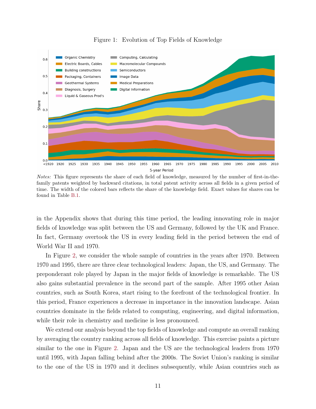<span id="page-11-0"></span>

Figure 1: Evolution of Top Fields of Knowledge

Notes: This figure represents the share of each field of knowledge, measured by the number of first-in-thefamily patents weighted by backward citations, in total patent activity across all fields in a given period of time. The width of the colored bars reflects the share of the knowledge field. Exact values for shares can be found in Table [B.1.](#page-28-0)

in the Appendix shows that during this time period, the leading innovating role in major fields of knowledge was split between the US and Germany, followed by the UK and France. In fact, Germany overtook the US in every leading field in the period between the end of World War II and 1970.

In Figure [2,](#page-12-0) we consider the whole sample of countries in the years after 1970. Between 1970 and 1995, there are three clear technological leaders: Japan, the US, and Germany. The preponderant role played by Japan in the major fields of knowledge is remarkable. The US also gains substantial prevalence in the second part of the sample. After 1995 other Asian countries, such as South Korea, start rising to the forefront of the technological frontier. In this period, France experiences a decrease in importance in the innovation landscape. Asian countries dominate in the fields related to computing, engineering, and digital information, while their role in chemistry and medicine is less pronounced.

We extend our analysis beyond the top fields of knowledge and compute an overall ranking by averaging the country ranking across all fields of knowledge. This exercise paints a picture similar to the one in Figure [2.](#page-12-0) Japan and the US are the technological leaders from 1970 until 1995, with Japan falling behind after the 2000s. The Soviet Union's ranking is similar to the one of the US in 1970 and it declines subsequently, while Asian countries such as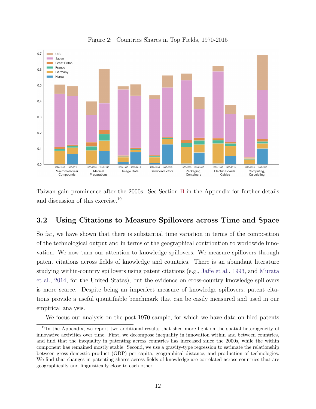<span id="page-12-0"></span>

Figure 2: Countries Shares in Top Fields, 1970-2015

Taiwan gain prominence after the 2000s. See Section [B](#page-1-0) in the Appendix for further details and discussion of this exercise.<sup>19</sup>

### 3.2 Using Citations to Measure Spillovers across Time and Space

So far, we have shown that there is substantial time variation in terms of the composition of the technological output and in terms of the geographical contribution to worldwide innovation. We now turn our attention to knowledge spillovers. We measure spillovers through patent citations across fields of knowledge and countries. There is an abundant literature studying within-country spillovers using patent citations (e.g., [Jaffe et al.,](#page-38-0) [1993,](#page-38-0) and [Murata](#page-39-0) [et al.,](#page-39-0) [2014,](#page-39-0) for the United States), but the evidence on cross-country knowledge spillovers is more scarce. Despite being an imperfect measure of knowledge spillovers, patent citations provide a useful quantifiable benchmark that can be easily measured and used in our empirical analysis.

We focus our analysis on the post-1970 sample, for which we have data on filed patents

<sup>&</sup>lt;sup>19</sup>In the Appendix, we report two additional results that shed more light on the spatial heterogeneity of innovative activities over time. First, we decompose inequality in innovation within and between countries, and find that the inequality in patenting across countries has increased since the 2000s, while the within component has remained mostly stable. Second, we use a gravity-type regression to estimate the relationship between gross domestic product (GDP) per capita, geographical distance, and production of technologies. We find that changes in patenting shares across fields of knowledge are correlated across countries that are geographically and linguistically close to each other.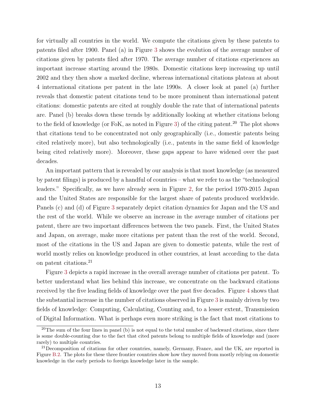for virtually all countries in the world. We compute the citations given by these patents to patents filed after 1900. Panel (a) in Figure [3](#page-14-0) shows the evolution of the average number of citations given by patents filed after 1970. The average number of citations experiences an important increase starting around the 1980s. Domestic citations keep increasing up until 2002 and they then show a marked decline, whereas international citations plateau at about 4 international citations per patent in the late 1990s. A closer look at panel (a) further reveals that domestic patent citations tend to be more prominent than international patent citations: domestic patents are cited at roughly double the rate that of international patents are. Panel (b) breaks down these trends by additionally looking at whether citations belong to the field of knowledge (or FoK, as noted in Figure [3\)](#page-14-0) of the citing patent.<sup>20</sup> The plot shows that citations tend to be concentrated not only geographically (i.e., domestic patents being cited relatively more), but also technologically (i.e., patents in the same field of knowledge being cited relatively more). Moreover, these gaps appear to have widened over the past decades.

An important pattern that is revealed by our analysis is that most knowledge (as measured by patent filings) is produced by a handful of countries – what we refer to as the "technological leaders." Specifically, as we have already seen in Figure [2,](#page-12-0) for the period 1970-2015 Japan and the United States are responsible for the largest share of patents produced worldwide. Panels (c) and (d) of Figure [3](#page-14-0) separately depict citation dynamics for Japan and the US and the rest of the world. While we observe an increase in the average number of citations per patent, there are two important differences between the two panels. First, the United States and Japan, on average, make more citations per patent than the rest of the world. Second, most of the citations in the US and Japan are given to domestic patents, while the rest of world mostly relies on knowledge produced in other countries, at least according to the data on patent citations.<sup>21</sup>

Figure [3](#page-14-0) depicts a rapid increase in the overall average number of citations per patent. To better understand what lies behind this increase, we concentrate on the backward citations received by the five leading fields of knowledge over the past five decades. Figure [4](#page-15-0) shows that the substantial increase in the number of citations observed in Figure [3](#page-14-0) is mainly driven by two fields of knowledge: Computing, Calculating, Counting and, to a lesser extent, Transmission of Digital Information. What is perhaps even more striking is the fact that most citations to

 $20$ The sum of the four lines in panel (b) is not equal to the total number of backward citations, since there is some double-counting due to the fact that cited patents belong to multiple fields of knowledge and (more rarely) to multiple countries.

<sup>&</sup>lt;sup>21</sup>Decomposition of citations for other countries, namely, Germany, France, and the UK, are reported in Figure [B.2.](#page-1-0) The plots for these three frontier countries show how they moved from mostly relying on domestic knowledge in the early periods to foreign knowledge later in the sample.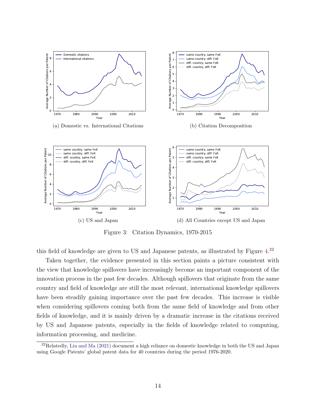<span id="page-14-0"></span>

Figure 3: Citation Dynamics, 1970-2015

this field of knowledge are given to US and Japanese patents, as illustrated by Figure [4.](#page-15-0)<sup>22</sup>

Taken together, the evidence presented in this section paints a picture consistent with the view that knowledge spillovers have increasingly become an important component of the innovation process in the past few decades. Although spillovers that originate from the same country and field of knowledge are still the most relevant, international knowledge spillovers have been steadily gaining importance over the past few decades. This increase is visible when considering spillovers coming both from the same field of knowledge and from other fields of knowledge, and it is mainly driven by a dramatic increase in the citations received by US and Japanese patents, especially in the fields of knowledge related to computing, information processing, and medicine.

<sup>22</sup>Relatedly, [Liu and Ma](#page-39-0) [\(2021\)](#page-39-0) document a high reliance on domestic knowledge in both the US and Japan using Google Patents' global patent data for 40 countries during the period 1976-2020.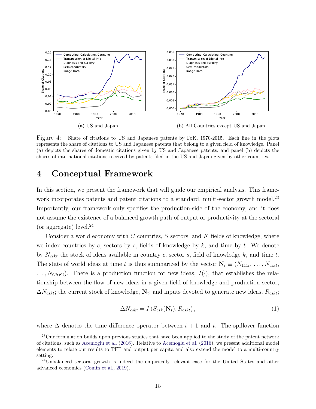<span id="page-15-0"></span>

Figure 4: Share of citations to US and Japanese patents by FoK, 1970-2015. Each line in the plots represents the share of citations to US and Japanese patents that belong to a given field of knowledge. Panel (a) depicts the shares of domestic citations given by US and Japanese patents, and panel (b) depicts the shares of international citations received by patents filed in the US and Japan given by other countries.

### 4 Conceptual Framework

In this section, we present the framework that will guide our empirical analysis. This framework incorporates patents and patent citations to a standard, multi-sector growth model.<sup>23</sup> Importantly, our framework only specifies the production-side of the economy, and it does not assume the existence of a balanced growth path of output or productivity at the sectoral (or aggregate) level.<sup>24</sup>

Consider a world economy with  $C$  countries,  $S$  sectors, and  $K$  fields of knowledge, where we index countries by c, sectors by s, fields of knowledge by  $k$ , and time by  $t$ . We denote by  $N_{cskt}$  the stock of ideas available in country c, sector s, field of knowledge k, and time t. The state of world ideas at time t is thus summarized by the vector  $N_t \equiv (N_{111t}, \ldots, N_{cskt},$  $\ldots, N_{CSKt}$ ). There is a production function for new ideas,  $I(\cdot)$ , that establishes the relationship between the flow of new ideas in a given field of knowledge and production sector,  $\Delta N_{cskt}$ ; the current stock of knowledge,  $N_t$ ; and inputs devoted to generate new ideas,  $R_{cskt}$ ;

$$
\Delta N_{cskt} = I\left(S_{csk}(\mathbf{N}_t), R_{cskt}\right),\tag{1}
$$

where  $\Delta$  denotes the time difference operator between  $t + 1$  and t. The spillover function

<sup>&</sup>lt;sup>23</sup>Our formulation builds upon previous studies that have been applied to the study of the patent network of citations, such as [Acemoglu et al.](#page-35-0) [\(2016\)](#page-35-0). Relative to [Acemoglu et al.](#page-35-0) [\(2016\)](#page-35-0), we present additional model elements to relate our results to TFP and output per capita and also extend the model to a multi-country setting.

<sup>24</sup>Unbalanced sectoral growth is indeed the empirically relevant case for the United States and other advanced economies [\(Comin et al.,](#page-36-0) [2019\)](#page-36-0).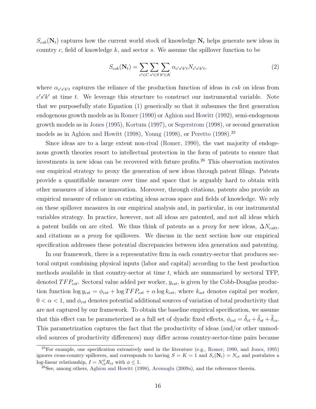<span id="page-16-0"></span> $S_{csk}(\mathbf{N}_t)$  captures how the current world stock of knowledge  $\mathbf{N}_t$  helps generate new ideas in country  $c$ , field of knowledge  $k$ , and sector  $s$ . We assume the spillover function to be

$$
S_{csk}(\mathbf{N}_t) = \sum_{c' \in C} \sum_{s' \in S} \sum_{k' \in K} \alpha_{c's'k't} N_{c's'k't},\tag{2}
$$

where  $\alpha_{c's'k't}$  captures the reliance of the production function of ideas in csk on ideas from  $c's'k'$  at time t. We leverage this structure to construct our instrumental variable. Note that we purposefully state Equation [\(1\)](#page-15-0) generically so that it subsumes the first generation endogenous growth models as in [Romer](#page-40-0) [\(1990\)](#page-40-0) or [Aghion and Howitt](#page-35-0) [\(1992\)](#page-35-0), semi-endogenous growth models as in [Jones](#page-38-0) [\(1995\)](#page-38-0), [Kortum](#page-39-0) [\(1997\)](#page-39-0), or [Segerstrom](#page-40-0) [\(1998\)](#page-40-0), or second generation models as in [Aghion and Howitt](#page-35-0) [\(1998\)](#page-40-0), [Young](#page-40-0) (1998), or [Peretto](#page-40-0) (1998).<sup>25</sup>

Since ideas are to a large extent non-rival [\(Romer,](#page-40-0) [1990\)](#page-40-0), the vast majority of endogenous growth theories resort to intellectual protection in the form of patents to ensure that investments in new ideas can be recovered with future profits.<sup>26</sup> This observation motivates our empirical strategy to proxy the generation of new ideas through patent filings. Patents provide a quantifiable measure over time and space that is arguably hard to obtain with other measures of ideas or innovation. Moreover, through citations, patents also provide an empirical measure of reliance on existing ideas across space and fields of knowledge. We rely on these spillover measures in our empirical analysis and, in particular, in our instrumental variables strategy. In practice, however, not all ideas are patented, and not all ideas which a patent builds on are cited. We thus think of patents as a *proxy* for new ideas,  $\Delta N_{cskt}$ , and citations as a proxy for spillovers. We discuss in the next section how our empirical specification addresses these potential discrepancies between idea generation and patenting.

In our framework, there is a representative firm in each country-sector that produces sectoral output combining physical inputs (labor and capital) according to the best production methods available in that country-sector at time  $t$ , which are summarized by sectoral TFP, denoted  $TFP_{cst}$ . Sectoral value added per worker,  $y_{cst}$ , is given by the Cobb-Douglas production function  $\log y_{cst} = \phi_{cst} + \log TFP_{cst} + \alpha \log k_{cst}$ , where  $k_{sct}$  denotes capital per worker,  $0 < \alpha < 1$ , and  $\phi_{cst}$  denotes potential additional sources of variation of total productivity that are not captured by our framework. To obtain the baseline empirical specification, we assume that this effect can be parameterized as a full set of dyadic fixed effects,  $\phi_{cst} = \tilde{\delta}_{ct} + \tilde{\delta}_{st} + \tilde{\delta}_{cs}$ . This parametrization captures the fact that the productivity of ideas (and/or other unmodeled sources of productivity differences) may differ across country-sector-time pairs because

<sup>25</sup>For example, one specification extensively used in the literature (e.g., [Romer,](#page-40-0) [1990,](#page-40-0) and [Jones,](#page-38-0) [1995\)](#page-38-0) ignores cross-country spillovers, and corresponds to having  $S = K = 1$  and  $S_c(\mathbf{N}_t) = N_{ct}$  and postulates a log-linear relationship,  $I = N_{ct}^{\phi} R_{ct}$  with  $\phi \leq 1$ .

 $^{26}$ See, among others, [Aghion and Howitt](#page-35-0) [\(1998\)](#page-35-0), [Acemoglu](#page-35-0) [\(2009a\)](#page-35-0), and the references therein.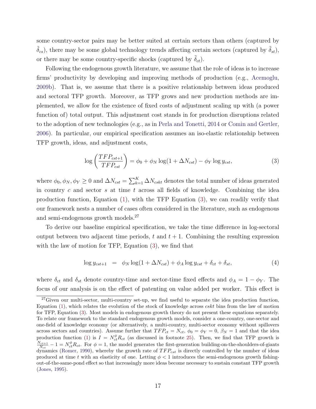<span id="page-17-0"></span>some country-sector pairs may be better suited at certain sectors than others (captured by  $(\tilde{\delta}_{cs})$ , there may be some global technology trends affecting certain sectors (captured by  $\tilde{\delta}_{st}$ ), or there may be some country-specific shocks (captured by  $\delta_{ct}$ ).

Following the endogenous growth literature, we assume that the role of ideas is to increase firms' productivity by developing and improving methods of production (e.g., [Acemoglu,](#page-35-0) [2009b\)](#page-35-0). That is, we assume that there is a positive relationship between ideas produced and sectoral TFP growth. Moreover, as TFP grows and new production methods are implemented, we allow for the existence of fixed costs of adjustment scaling up with (a power function of) total output. This adjustment cost stands in for production disruptions related to the adoption of new technologies (e.g., as in [Perla and Tonetti,](#page-40-0) [2014](#page-40-0) or [Comin and Gertler,](#page-36-0) [2006\)](#page-36-0). In particular, our empirical specification assumes an iso-elastic relationship between TFP growth, ideas, and adjustment costs,

$$
\log\left(\frac{TFP_{cst+1}}{TFP_{cst}}\right) = \phi_0 + \phi_N \log(1 + \Delta N_{cst}) - \phi_Y \log y_{cst},\tag{3}
$$

where  $\phi_0, \phi_N, \phi_Y \ge 0$  and  $\Delta N_{cst} = \sum_{k=1}^K \Delta N_{cskt}$  denotes the total number of ideas generated in country  $c$  and sector  $s$  at time  $t$  across all fields of knowledge. Combining the idea production function, Equation [\(1\)](#page-15-0), with the TFP Equation (3), we can readily verify that our framework nests a number of cases often considered in the literature, such as endogenous and semi-endogenous growth models.<sup>27</sup>

To derive our baseline empirical specification, we take the time difference in log-sectoral output between two adjacent time periods, t and  $t + 1$ . Combining the resulting expression with the law of motion for TFP, Equation  $(3)$ , we find that

$$
\log y_{cst+1} = \phi_N \log(1 + \Delta N_{cst}) + \phi_A \log y_{cst} + \delta_{ct} + \delta_{st},\tag{4}
$$

where  $\delta_{ct}$  and  $\delta_{st}$  denote country-time and sector-time fixed effects and  $\phi_A = 1 - \phi_Y$ . The focus of our analysis is on the effect of patenting on value added per worker. This effect is

<sup>&</sup>lt;sup>27</sup>Given our multi-sector, multi-country set-up, we find useful to separate the idea production function, Equation  $(1)$ , which relates the evolution of the stock of knowledge across *cskt* bins from the law of motion for TFP, Equation (3). Most models in endogenous growth theory do not present these equations separately. To relate our framework to the standard endogenous growth models, consider a one-country, one-sector and one-field of knowledge economy (or alternatively, a multi-country, multi-sector economy without spillovers across sectors and countries). Assume further that  $TFP_{ct} = N_{ct}$ ,  $\phi_0 = \phi_Y = 0$ ,  $\beta_N = 1$  and that the idea production function [\(1\)](#page-15-0) is  $I = N_{ct}^{\phi} R_{ct}$  (as discussed in footnote [25\)](#page-16-0). Then, we find that TFP growth is  $N_{ct+1}$  $\frac{N_{ct+1}}{N_{ct}}-1=\frac{N_{ct}^{\phi}R_{ct}}{N_{ct}}$ . For  $\phi=1$ , the model generates the first-generation building-on-the-shoulders-of-giants dynamics [\(Romer,](#page-40-0) [1990\)](#page-40-0), whereby the growth rate of  $TFP_{cst}$  is directly controlled by the number of ideas produced at time t with an elasticity of one. Letting  $\phi < 1$  introduces the semi-endogenous growth fishingout-of-the-same-pond effect so that increasingly more ideas become necessary to sustain constant TFP growth [\(Jones,](#page-38-0) [1995\)](#page-38-0).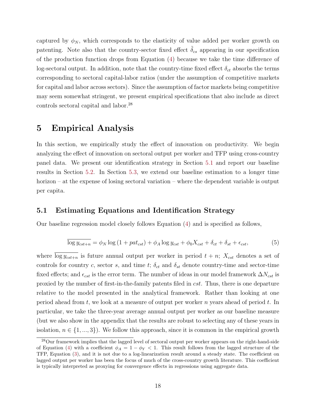<span id="page-18-0"></span>captured by  $\phi_N$ , which corresponds to the elasticity of value added per worker growth on patenting. Note also that the country-sector fixed effect  $\tilde{\delta}_{cs}$  appearing in our specification of the production function drops from Equation [\(4\)](#page-17-0) because we take the time difference of log-sectoral output. In addition, note that the country-time fixed effect  $\delta_{ct}$  absorbs the terms corresponding to sectoral capital-labor ratios (under the assumption of competitive markets for capital and labor across sectors). Since the assumption of factor markets being competitive may seem somewhat stringent, we present empirical specifications that also include as direct controls sectoral capital and labor.<sup>28</sup>

### 5 Empirical Analysis

In this section, we empirically study the effect of innovation on productivity. We begin analyzing the effect of innovation on sectoral output per worker and TFP using cross-country panel data. We present our identification strategy in Section 5.1 and report our baseline results in Section [5.2.](#page-25-0) In Section [5.3,](#page-30-0) we extend our baseline estimation to a longer time horizon – at the expense of losing sectoral variation – where the dependent variable is output per capita.

### 5.1 Estimating Equations and Identification Strategy

Our baseline regression model closely follows Equation [\(4\)](#page-17-0) and is specified as follows,

$$
\overline{\log y_{cst+n}} = \phi_N \log (1 + pat_{cst}) + \phi_A \log y_{cst} + \phi_0 X_{cst} + \delta_{ct} + \delta_{st} + \epsilon_{cst},
$$
(5)

where  $\overline{\log y_{cst+n}}$  is future annual output per worker in period  $t + n$ ;  $X_{cst}$  denotes a set of controls for country c, sector s, and time t;  $\delta_{ct}$  and  $\delta_{st}$  denote country-time and sector-time fixed effects; and  $\epsilon_{cst}$  is the error term. The number of ideas in our model framework  $\Delta N_{cst}$  is proxied by the number of first-in-the-family patents filed in *cst*. Thus, there is one departure relative to the model presented in the analytical framework. Rather than looking at one period ahead from t, we look at a measure of output per worker n years ahead of period t. In particular, we take the three-year average annual output per worker as our baseline measure (but we also show in the appendix that the results are robust to selecting any of these years in isolation,  $n \in \{1, ..., 3\}$ . We follow this approach, since it is common in the empirical growth

<sup>&</sup>lt;sup>28</sup>Our framework implies that the lagged level of sectoral output per worker appears on the right-hand-side of Equation [\(4\)](#page-17-0) with a coefficient  $\phi_A = 1 - \phi_Y < 1$ . This result follows from the lagged structure of the TFP, Equation [\(3\)](#page-17-0), and it is not due to a log-linearization result around a steady state. The coefficient on lagged output per worker has been the focus of much of the cross-country growth literature. This coefficient is typically interpreted as proxying for convergence effects in regressions using aggregate data.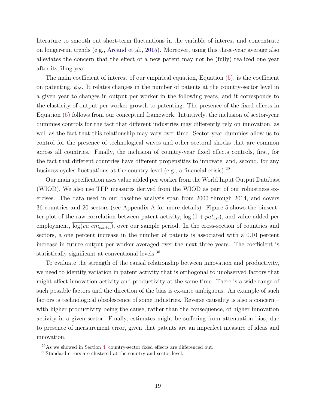literature to smooth out short-term fluctuations in the variable of interest and concentrate on longer-run trends (e.g., [Arcand et al.,](#page-35-0) [2015\)](#page-35-0). Moreover, using this three-year average also alleviates the concern that the effect of a new patent may not be (fully) realized one year after its filing year.

The main coefficient of interest of our empirical equation, Equation [\(5\)](#page-18-0), is the coefficient on patenting,  $\phi_N$ . It relates changes in the number of patents at the country-sector level in a given year to changes in output per worker in the following years, and it corresponds to the elasticity of output per worker growth to patenting. The presence of the fixed effects in Equation [\(5\)](#page-18-0) follows from our conceptual framework. Intuitively, the inclusion of sector-year dummies controls for the fact that different industries may differently rely on innovation, as well as the fact that this relationship may vary over time. Sector-year dummies allow us to control for the presence of technological waves and other sectoral shocks that are common across all countries. Finally, the inclusion of country-year fixed effects controls, first, for the fact that different countries have different propensities to innovate, and, second, for any business cycles fluctuations at the country level (e.g., a financial crisis).<sup>29</sup>

Our main specification uses value added per worker from the World Input Output Database (WIOD). We also use TFP measures derived from the WIOD as part of our robustness exercises. The data used in our baseline analysis span from 2000 through 2014, and covers 36 countries and 20 sectors (see Appendix [A](#page-1-0) for more details). Figure [5](#page-20-0) shows the binscatter plot of the raw correlation between patent activity,  $\log(1 + pat_{cst})$ , and value added per employment,  $\overline{\log(va_{\text{-}}em_{cst+n})}$ , over our sample period. In the cross-section of countries and sectors, a one percent increase in the number of patents is associated with a 0.10 percent increase in future output per worker averaged over the next three years. The coefficient is statistically significant at conventional levels.<sup>30</sup>

To evaluate the strength of the causal relationship between innovation and productivity, we need to identify variation in patent activity that is orthogonal to unobserved factors that might affect innovation activity and productivity at the same time. There is a wide range of such possible factors and the direction of the bias is ex-ante ambiguous. An example of such factors is technological obsolescence of some industries. Reverse causality is also a concern – with higher productivity being the cause, rather than the consequence, of higher innovation activity in a given sector. Finally, estimates might be suffering from attenuation bias, due to presence of measurement error, given that patents are an imperfect measure of ideas and innovation.

 $^{29}$ As we showed in Section [4,](#page-15-0) country-sector fixed effects are differenced out.

<sup>30</sup>Standard errors are clustered at the country and sector level.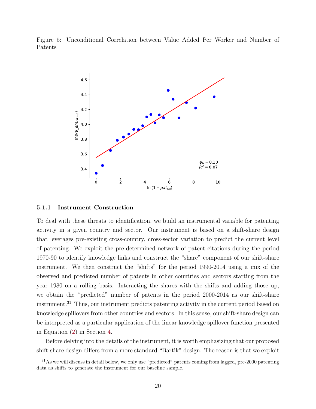<span id="page-20-0"></span>Figure 5: Unconditional Correlation between Value Added Per Worker and Number of Patents



#### 5.1.1 Instrument Construction

To deal with these threats to identification, we build an instrumental variable for patenting activity in a given country and sector. Our instrument is based on a shift-share design that leverages pre-existing cross-country, cross-sector variation to predict the current level of patenting. We exploit the pre-determined network of patent citations during the period 1970-90 to identify knowledge links and construct the "share" component of our shift-share instrument. We then construct the "shifts" for the period 1990-2014 using a mix of the observed and predicted number of patents in other countries and sectors starting from the year 1980 on a rolling basis. Interacting the shares with the shifts and adding those up, we obtain the "predicted" number of patents in the period 2000-2014 as our shift-share instrument.<sup>31</sup> Thus, our instrument predicts patenting activity in the current period based on knowledge spillovers from other countries and sectors. In this sense, our shift-share design can be interpreted as a particular application of the linear knowledge spillover function presented in Equation [\(2\)](#page-16-0) in Section [4.](#page-15-0)

Before delving into the details of the instrument, it is worth emphasizing that our proposed shift-share design differs from a more standard "Bartik" design. The reason is that we exploit

<sup>&</sup>lt;sup>31</sup>As we will discuss in detail below, we only use "predicted" patents coming from lagged, pre-2000 patenting data as shifts to generate the instrument for our baseline sample.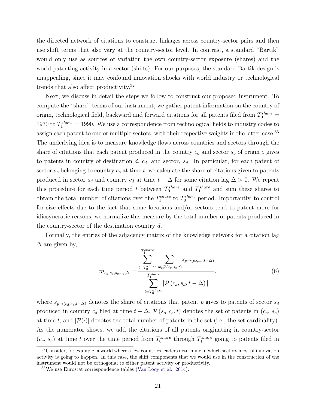<span id="page-21-0"></span>the directed network of citations to construct linkages across country-sector pairs and then use shift terms that also vary at the country-sector level. In contrast, a standard "Bartik" would only use as sources of variation the own country-sector exposure (shares) and the world patenting activity in a sector (shifts). For our purposes, the standard Bartik design is unappealing, since it may confound innovation shocks with world industry or technological trends that also affect productivity.<sup>32</sup>

Next, we discuss in detail the steps we follow to construct our proposed instrument. To compute the "share" terms of our instrument, we gather patent information on the country of origin, technological field, backward and forward citations for all patents filed from  $T_0^{share}$  = 1970 to  $T_1^{share} = 1990$ . We use a correspondence from technological fields to industry codes to assign each patent to one or multiple sectors, with their respective weights in the latter case.<sup>33</sup> The underlying idea is to measure knowledge flows across countries and sectors through the share of citations that each patent produced in the country  $c<sub>o</sub>$  and sector  $s<sub>o</sub>$  of origin  $o$  gives to patents in country of destination  $d, c_d$ , and sector,  $s_d$ . In particular, for each patent of sector  $s_o$  belonging to country  $c_o$  at time t, we calculate the share of citations given to patents produced in sector  $s_d$  and country  $c_d$  at time  $t - \Delta$  for some citation lag  $\Delta > 0$ . We repeat this procedure for each time period t between  $T_0^{share}$  and  $T_1^{share}$  and sum these shares to obtain the total number of citations over the  $T_1^{share}$  to  $T_0^{share}$  period. Importantly, to control for size effects due to the fact that some locations and/or sectors tend to patent more for idiosyncratic reasons, we normalize this measure by the total number of patents produced in the country-sector of the destination country d.

Formally, the entries of the adjacency matrix of the knowledge network for a citation lag  $\Delta$  are given by,

$$
m_{c_o,c_d,s_o,s_d,\Delta} = \frac{\sum_{t=T_0^{share}}^{T_1^{share}} \sum_{p \in \mathcal{P}(c_o,s_o,t)} s_{p \to (c_d,s_d,t-\Delta)}}{\sum_{t=T_0^{share}}^{T_1^{share}} |\mathcal{P}(c_d,s_d,t-\Delta)|},
$$
\n(6)

where  $s_{p\rightarrow(c_d,s_d,t-\Delta)}$  denotes the share of citations that patent p gives to patents of sector  $s_d$ produced in country  $c_d$  filed at time  $t - \Delta$ ,  $\mathcal{P}(s_o, c_o, t)$  denotes the set of patents in  $(c_o, s_o)$ at time t, and  $|\mathcal{P}(\cdot)|$  denotes the total number of patents in the set (i.e., the set cardinality). As the numerator shows, we add the citations of all patents originating in country-sector  $(c_o, s_o)$  at time t over the time period from  $T_0^{share}$  through  $T_1^{share}$  going to patents filed in

<sup>&</sup>lt;sup>32</sup>Consider, for example, a world where a few countries leaders determine in which sectors most of innovation activity is going to happen. In this case, the shift components that we would use in the construction of the instrument would not be orthogonal to either patent activity or productivity.

 $33\text{We}$  use Eurostat correspondence tables [\(Van Looy et al.,](#page-40-0) [2014\)](#page-40-0).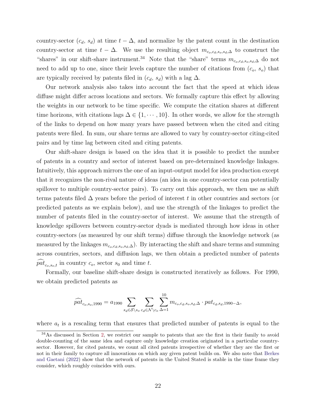country-sector  $(c_d, s_d)$  at time  $t - \Delta$ , and normalize by the patent count in the destination country-sector at time  $t - \Delta$ . We use the resulting object  $m_{c_o,c_d,s_o,s_d,\Delta}$  to construct the "shares" in our shift-share instrument.<sup>34</sup> Note that the "share" terms  $m_{c_0,c_d,s_o,s_d,\Delta}$  do not need to add up to one, since their levels capture the number of citations from  $(c_0, s_0)$  that are typically received by patents filed in  $(c_d, s_d)$  with a lag  $\Delta$ .

Our network analysis also takes into account the fact that the speed at which ideas diffuse might differ across locations and sectors. We formally capture this effect by allowing the weights in our network to be time specific. We compute the citation shares at different time horizons, with citations lags  $\Delta \in \{1, \dots, 10\}$ . In other words, we allow for the strength of the links to depend on how many years have passed between when the cited and citing patents were filed. In sum, our share terms are allowed to vary by country-sector citing-cited pairs and by time lag between cited and citing patents.

Our shift-share design is based on the idea that it is possible to predict the number of patents in a country and sector of interest based on pre-determined knowledge linkages. Intuitively, this approach mirrors the one of an input-output model for idea production except that it recognizes the non-rival nature of ideas (an idea in one country-sector can potentially spillover to multiple country-sector pairs). To carry out this approach, we then use as shift terms patents filed  $\Delta$  years before the period of interest t in other countries and sectors (or predicted patents as we explain below), and use the strength of the linkages to predict the number of patents filed in the country-sector of interest. We assume that the strength of knowledge spillovers between country-sector dyads is mediated through how ideas in other country-sectors (as measured by our shift terms) diffuse through the knowledge network (as measured by the linkages  $m_{c_0,c_d,s_o,s_d,\Delta}$ ). By interacting the shift and share terms and summing across countries, sectors, and diffusion lags, we then obtain a predicted number of patents  $pat_{c_0,s_0,t}$  in country  $c_0$ , sector  $s_0$  and time t.

Formally, our baseline shift-share design is constructed iteratively as follows. For 1990, we obtain predicted patents as

$$
\widehat{pat}_{c_o,s_o,1990} = a_{1990} \sum_{s_d \in \mathcal{S} \backslash s_o} \sum_{c_d \in \mathcal{N} \backslash c_o} \sum_{\Delta=1}^{10} m_{c_o,c_d,s_o,s_d,\Delta} \cdot pat_{c_d,s_d,1990-\Delta},
$$

where  $a_t$  is a rescaling term that ensures that predicted number of patents is equal to the

<sup>&</sup>lt;sup>34</sup>As discussed in Section [2,](#page-6-0) we restrict our sample to patents that are the first in their family to avoid double-counting of the same idea and capture only knowledge creation originated in a particular countrysector. However, for cited patents, we count all cited patents irrespective of whether they are the first or not in their family to capture all innovations on which any given patent builds on. We also note that [Berkes](#page-36-0) [and Gaetani](#page-36-0) [\(2022\)](#page-36-0) show that the network of patents in the United Stated is stable in the time frame they consider, which roughly coincides with ours.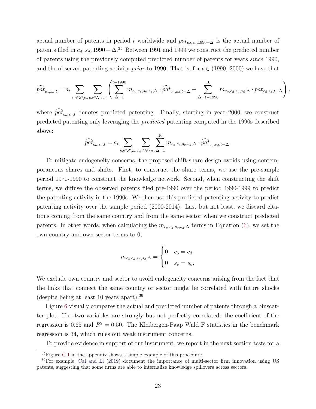actual number of patents in period t worldwide and  $pat_{c_d,s_d,1990-\Delta}$  is the actual number of patents filed in  $c_d$ ,  $s_d$ , 1990− $\Delta$ .<sup>35</sup> Between 1991 and 1999 we construct the predicted number of patents using the previously computed predicted number of patents for years since 1990, and the observed patenting activity *prior* to 1990. That is, for  $t \in (1990, 2000)$  we have that

$$
\widehat{pat}_{c_o,s_o,t} = a_t \sum_{s_d \in \mathcal{S} \setminus s_o} \sum_{c_d \in \mathcal{N} \setminus c_o} \left( \sum_{\Delta=1}^{t-1990} m_{c_o,c_d,s_o,s_d,\Delta} \cdot \widehat{pat}_{c_d,s_d,t-\Delta} + \sum_{\Delta=t-1990}^{10} m_{c_o,c_d,s_o,s_d,\Delta} \cdot pat_{c_d,s_d,t-\Delta} \right),
$$

where  $\widehat{pat}_{c_0,s_0,t}$  denotes predicted patenting. Finally, starting in year 2000, we construct predicted patenting only leveraging the predicted patenting computed in the 1990s described above:

$$
\widehat{pat}_{c_o,s_o,t} = a_t \sum_{s_d \in \mathcal{S} \setminus s_o} \sum_{c_d \in \mathcal{N} \setminus c_o} \sum_{\Delta=1}^{10} m_{c_o,c_d,s_o,s_d,\Delta} \cdot \widehat{pat}_{c_d,s_d,t-\Delta}.
$$

To mitigate endogeneity concerns, the proposed shift-share design avoids using contemporaneous shares and shifts. First, to construct the share terms, we use the pre-sample period 1970-1990 to construct the knowledge network. Second, when constructing the shift terms, we diffuse the observed patents filed pre-1990 over the period 1990-1999 to predict the patenting activity in the 1990s. We then use this predicted patenting activity to predict patenting activity over the sample period (2000-2014). Last but not least, we discard citations coming from the same country and from the same sector when we construct predicted patents. In other words, when calculating the  $m_{c_0,c_d,s_0,s_d,\Delta}$  terms in Equation [\(6\)](#page-21-0), we set the own-country and own-sector terms to 0,

$$
m_{c_o, c_d, s_o, s_d, \Delta} = \begin{cases} 0 & c_o = c_d \\ 0 & s_o = s_d. \end{cases}
$$

We exclude own country and sector to avoid endogeneity concerns arising from the fact that the links that connect the same country or sector might be correlated with future shocks (despite being at least 10 years apart).<sup>36</sup>

Figure [6](#page-24-0) visually compares the actual and predicted number of patents through a binscatter plot. The two variables are strongly but not perfectly correlated: the coefficient of the regression is 0.65 and  $R^2 = 0.50$ . The Kleibergen-Paap Wald F statistics in the benchmark regression is 34, which rules out weak instrument concerns.

To provide evidence in support of our instrument, we report in the next section tests for a

 ${}^{35}$ Figure [C.1](#page-1-0) in the appendix shows a simple example of this procedure.

<sup>36</sup>For example, [Cai and Li](#page-36-0) [\(2019\)](#page-36-0) document the importance of multi-sector firm innovation using US patents, suggesting that some firms are able to internalize knowledge spillovers across sectors.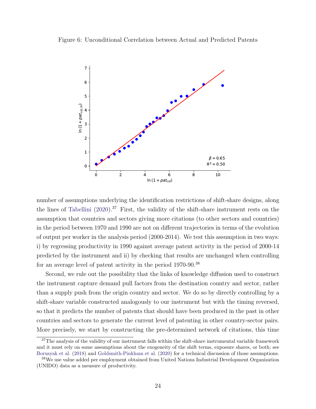<span id="page-24-0"></span>Figure 6: Unconditional Correlation between Actual and Predicted Patents



number of assumptions underlying the identification restrictions of shift-share designs, along the lines of [Tabellini](#page-40-0)  $(2020)$ .<sup>37</sup> First, the validity of the shift-share instrument rests on the assumption that countries and sectors giving more citations (to other sectors and countries) in the period between 1970 and 1990 are not on different trajectories in terms of the evolution of output per worker in the analysis period (2000-2014). We test this assumption in two ways: i) by regressing productivity in 1990 against average patent activity in the period of 2000-14 predicted by the instrument and ii) by checking that results are unchanged when controlling for an average level of patent activity in the period 1970-90.<sup>38</sup>

Second, we rule out the possibility that the links of knowledge diffusion used to construct the instrument capture demand pull factors from the destination country and sector, rather than a supply push from the origin country and sector. We do so by directly controlling by a shift-share variable constructed analogously to our instrument but with the timing reversed, so that it predicts the number of patents that should have been produced in the past in other countries and sectors to generate the current level of patenting in other country-sector pairs. More precisely, we start by constructing the pre-determined network of citations, this time

 $37$ The analysis of the validity of our instrument falls within the shift-share instrumental variable framework and it must rely on some assumptions about the exogeneity of the shift terms, exposure shares, or both; see [Borusyak et al.](#page-36-0) [\(2018\)](#page-36-0) and [Goldsmith-Pinkham et al.](#page-37-0) [\(2020\)](#page-37-0) for a technical discussion of those assumptions.

<sup>38</sup>We use value added per employment obtained from United Nations Industrial Development Organization (UNIDO) data as a measure of productivity.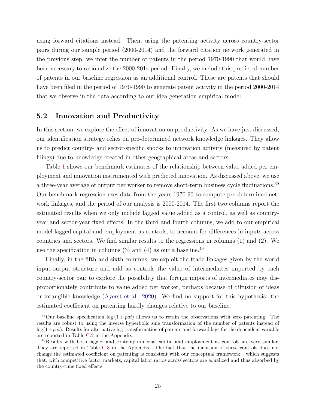<span id="page-25-0"></span>using forward citations instead. Then, using the patenting activity across country-sector pairs during our sample period (2000-2014) and the forward citation network generated in the previous step, we infer the number of patents in the period 1970-1990 that would have been necessary to rationalize the 2000-2014 period. Finally, we include this predicted number of patents in our baseline regression as an additional control. These are patents that should have been filed in the period of 1970-1990 to generate patent activity in the period 2000-2014 that we observe in the data according to our idea generation empirical model.

### 5.2 Innovation and Productivity

In this section, we explore the effect of innovation on productivity. As we have just discussed, our identification strategy relies on pre-determined network knowledge linkages. They allow us to predict country- and sector-specific shocks to innovation activity (measured by patent filings) due to knowledge created in other geographical areas and sectors.

Table [1](#page-26-0) shows our benchmark estimates of the relationship between value added per employment and innovation instrumented with predicted innovation. As discussed above, we use a three-year average of output per worker to remove short-term business cycle fluctuations.<sup>39</sup> Our benchmark regression uses data from the years 1970-90 to compute pre-determined network linkages, and the period of our analysis is 2000-2014. The first two columns report the estimated results when we only include lagged value added as a control, as well as countryyear and sector-year fixed effects. In the third and fourth columns, we add to our empirical model lagged capital and employment as controls, to account for differences in inputs across countries and sectors. We find similar results to the regressions in columns (1) and (2). We use the specification in columns  $(3)$  and  $(4)$  as our a baseline.<sup>40</sup>

Finally, in the fifth and sixth columns, we exploit the trade linkages given by the world input-output structure and add as controls the value of intermediates imported by each country-sector pair to explore the possibility that foreign imports of intermediates may disproportionately contribute to value added per worker, perhaps because of diffusion of ideas or intangible knowledge [\(Ayerst et al.,](#page-35-0) [2020\)](#page-35-0). We find no support for this hypothesis: the estimated coefficient on patenting hardly changes relative to our baseline.

<sup>&</sup>lt;sup>39</sup>Our baseline specification  $\log(1 + pat)$  allows us to retain the observations with zero patenting. The results are robust to using the inverse hyperbolic sine transformation of the number of patents instead of  $log(1+pat)$ . Results for alternative log transformation of patents and forward lags for the dependent variable are reported in Table [C.2](#page-1-0) in the Appendix.

<sup>&</sup>lt;sup>40</sup>Results with both lagged and contemporaneous capital and employment as controls are very similar. They are reported in Table [C.3](#page-1-0) in the Appendix. The fact that the inclusion of these controls does not change the estimated coefficient on patenting is consistent with our conceptual framework – which suggests that, with competitive factor markets, capital labor ratios across sectors are equalized and thus absorbed by the country-time fixed effects.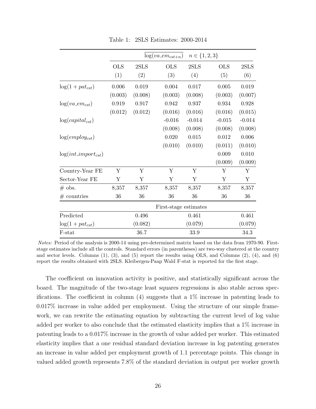<span id="page-26-0"></span>

|                          | $n\in\{1,2,3\}$<br>$log(va\_em_{cst+n})$ |                       |             |          |             |          |  |  |
|--------------------------|------------------------------------------|-----------------------|-------------|----------|-------------|----------|--|--|
|                          | <b>OLS</b>                               | 2SLS                  | <b>OLS</b>  | 2SLS     | <b>OLS</b>  | 2SLS     |  |  |
|                          | (1)                                      | (2)                   | (3)         | (4)      | (5)         | (6)      |  |  |
| $log(1 + pat_{cst})$     | 0.006                                    | 0.019                 | 0.004       | 0.017    | 0.005       | 0.019    |  |  |
|                          | (0.003)                                  | (0.008)               | (0.003)     | (0.008)  | (0.003)     | (0.007)  |  |  |
| $log(va\_em_{cst})$      | 0.919                                    | 0.917                 | $\,0.942\,$ | 0.937    | $\,0.934\,$ | 0.928    |  |  |
|                          | (0.012)                                  | (0.012)               | (0.016)     | (0.016)  | (0.016)     | (0.015)  |  |  |
| $log(capital_{cst})$     |                                          |                       | $-0.016$    | $-0.014$ | $-0.015$    | $-0.014$ |  |  |
|                          |                                          |                       | (0.008)     | (0.008)  | (0.008)     | (0.008)  |  |  |
| $log(employ_{cst})$      |                                          |                       | 0.020       | 0.015    | 0.012       | 0.006    |  |  |
|                          |                                          |                       | (0.010)     | (0.010)  | (0.011)     | (0.010)  |  |  |
| $log(int\_import_{cst})$ |                                          |                       |             |          | 0.009       | 0.010    |  |  |
|                          |                                          |                       |             |          | (0.009)     | (0.009)  |  |  |
| Country-Year FE          | Υ                                        | Y                     | Υ           | Y        | Y           | Y        |  |  |
| Sector-Year FE           | Υ                                        | Υ                     | Υ           | Y        | Y           | Y        |  |  |
| $#$ obs.                 | 8,357                                    | 8,357                 | 8,357       | 8,357    | 8,357       | 8,357    |  |  |
| $#$ countries            | 36                                       | 36                    | 36          | 36       | 36          | 36       |  |  |
|                          |                                          | First-stage estimates |             |          |             |          |  |  |
| Predicted                |                                          | 0.496                 |             | 0.461    |             | 0.461    |  |  |
| $log(1 + pat_{cst})$     |                                          | (0.082)               |             | (0.079)  |             | (0.079)  |  |  |
| F-stat                   |                                          | 36.7                  |             | 33.9     |             | 34.3     |  |  |

Table 1: 2SLS Estimates: 2000-2014

Notes: Period of the analysis is 2000-14 using pre-determined matrix based on the data from 1970-90. Firststage estimates include all the controls. Standard errors (in parentheses) are two-way clustered at the country and sector levels. Columns (1), (3), and (5) report the results using OLS, and Columns (2), (4), and (6) report the results obtained with 2SLS. Kleibergen-Paap Wald F-stat is reported for the first stage.

The coefficient on innovation activity is positive, and statistically significant across the board. The magnitude of the two-stage least squares regressions is also stable across specifications. The coefficient in column (4) suggests that a 1% increase in patenting leads to 0.017% increase in value added per employment. Using the structure of our simple framework, we can rewrite the estimating equation by subtracting the current level of log value added per worker to also conclude that the estimated elasticity implies that a 1% increase in patenting leads to a 0.017% increase in the growth of value added per worker. This estimated elasticity implies that a one residual standard deviation increase in log patenting generates an increase in value added per employment growth of 1.1 percentage points. This change in valued added growth represents 7.8% of the standard deviation in output per worker growth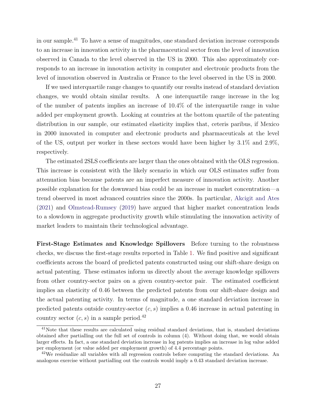in our sample.<sup>41</sup> To have a sense of magnitudes, one standard deviation increase corresponds to an increase in innovation activity in the pharmaceutical sector from the level of innovation observed in Canada to the level observed in the US in 2000. This also approximately corresponds to an increase in innovation activity in computer and electronic products from the level of innovation observed in Australia or France to the level observed in the US in 2000.

If we used interquartile range changes to quantify our results instead of standard deviation changes, we would obtain similar results. A one interquartile range increase in the log of the number of patents implies an increase of 10.4% of the interquartile range in value added per employment growth. Looking at countries at the bottom quartile of the patenting distribution in our sample, our estimated elasticity implies that, ceteris paribus, if Mexico in 2000 innovated in computer and electronic products and pharmaceuticals at the level of the US, output per worker in these sectors would have been higher by 3.1% and 2.9%, respectively.

The estimated 2SLS coefficients are larger than the ones obtained with the OLS regression. This increase is consistent with the likely scenario in which our OLS estimates suffer from attenuation bias because patents are an imperfect measure of innovation activity. Another possible explanation for the downward bias could be an increase in market concentration—a trend observed in most advanced countries since the 2000s. In particular, [Akcigit and Ates](#page-35-0) [\(2021\)](#page-35-0) and [Olmstead-Rumsey](#page-40-0) [\(2019\)](#page-40-0) have argued that higher market concentration leads to a slowdown in aggregate productivity growth while stimulating the innovation activity of market leaders to maintain their technological advantage.

First-Stage Estimates and Knowledge Spillovers Before turning to the robustness checks, we discuss the first-stage results reported in Table [1.](#page-26-0) We find positive and significant coefficients across the board of predicted patents constructed using our shift-share design on actual patenting. These estimates inform us directly about the average knowledge spillovers from other country-sector pairs on a given country-sector pair. The estimated coefficient implies an elasticity of 0.46 between the predicted patents from our shift-share design and the actual patenting activity. In terms of magnitude, a one standard deviation increase in predicted patents outside country-sector  $(c, s)$  implies a 0.46 increase in actual patenting in country sector  $(c, s)$  in a sample period.<sup>42</sup>

<sup>&</sup>lt;sup>41</sup>Note that these results are calculated using residual standard deviations, that is, standard deviations obtained after partialling out the full set of controls in column (4). Without doing that, we would obtain larger effects. In fact, a one standard deviation increase in log patents implies an increase in log value added per employment (or value added per employment growth) of 4.4 percentage points.

<sup>42</sup>We residualize all variables with all regression controls before computing the standard deviations. An analogous exercise without partialling out the controls would imply a 0.43 standard deviation increase.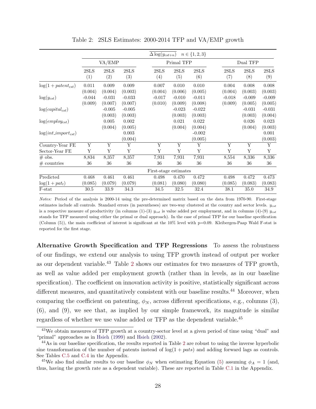<span id="page-28-0"></span>

|                          |                     |                     |                     | $\Delta \log(y_{cst+n})$ |                     | $n \in \{1, 2, 3\}$    |                     |                     |                     |  |
|--------------------------|---------------------|---------------------|---------------------|--------------------------|---------------------|------------------------|---------------------|---------------------|---------------------|--|
|                          | VA/EMP              |                     |                     |                          | Primal TFP          |                        |                     | Dual TFP            |                     |  |
|                          | 2SLS<br>(1)         | 2SLS<br>(2)         | 2SLS<br>(3)         | 2SLS<br>(4)              | 2SLS<br>(5)         | 2SLS<br>(6)            | 2SLS<br>(7)         | 2SLS<br>(8)         | 2SLS<br>(9)         |  |
| $log(1 + patent_{cst})$  | 0.011<br>(0.004)    | 0.009<br>(0.004)    | 0.009<br>(0.003)    | 0.007<br>(0.004)         | 0.010<br>(0.006)    | 0.010<br>(0.005)       | 0.004<br>(0.004)    | 0.008<br>(0.003)    | 0.008<br>(0.003)    |  |
| $\log(y_{cst})$          | $-0.044$<br>(0.009) | $-0.031$<br>(0.007) | $-0.033$<br>(0.007) | $-0.017$<br>(0.010)      | $-0.010$<br>(0.009) | $-0.011$<br>(0.008)    | $-0.018$<br>(0.009) | $-0.009$<br>(0.005) | $-0.009$<br>(0.005) |  |
| $log(capital_{cst})$     |                     | $-0.005$<br>(0.003) | $-0.005$<br>(0.003) |                          | $-0.023$<br>(0.003) | $-0.022$<br>(0.003)    |                     | $-0.031$<br>(0.003) | $-0.031$<br>(0.004) |  |
| $log(employ_{cst})$      |                     | 0.005<br>(0.004)    | 0.002<br>(0.005)    |                          | 0.021<br>(0.004)    | $\,0.022\,$<br>(0.004) |                     | 0.026<br>(0.004)    | 0.023<br>(0.003)    |  |
| $log(int\_import_{cst})$ |                     |                     | 0.003<br>(0.004)    |                          |                     | $-0.002$<br>(0.005)    |                     |                     | 0.001<br>(0.003)    |  |
| Country-Year FE          | Y                   | Y                   | Y                   | Y                        | Y                   | Y                      | Y                   | Y                   | $\overline{Y}$      |  |
| Sector-Year FE           | Υ                   | Υ                   | Υ                   | Y                        | Υ                   | Υ                      | Υ                   | Υ                   | Υ                   |  |
| $#$ obs.                 | 8,834               | 8,357               | 8,357               | 7,931                    | 7,931               | 7,931                  | 8,554               | 8,336               | 8,336               |  |
| $#$ countries            | 36                  | 36                  | 36                  | 36                       | 36                  | 36                     | 36                  | 36                  | 36                  |  |
|                          |                     |                     |                     | First-stage estimates    |                     |                        |                     |                     |                     |  |
| Predicted                | 0.468               | 0.461               | 0.461               | 0.498                    | 0.470               | 0.472                  | 0.498               | 0.472               | 0.473               |  |
| $\log(1 + pat_t)$        | (0.085)             | (0.079)             | (0.079)             | (0.081)                  | (0.080)             | (0.080)                | (0.085)             | (0.083)             | (0.083)             |  |
| F-stat                   | 30.5                | 33.9                | 34.3                | 34.5                     | 32.5                | 32.4                   | 38.1                | 35.0                | 34.9                |  |

Table 2: 2SLS Estimates: 2000-2014 TFP and VA/EMP growth

Notes: Period of the analysis is 2000-14 using the pre-determined matrix based on the data from 1970-90. First-stage estimates include all controls. Standard errors (in parentheses) are two-way clustered at the country and sector levels.  $y_{cst}$ is a respective measure of productivity (in columns  $(1)-(3)$   $y_{cst}$  is value added per employment, and in columns  $(4)-(9)$   $y_{cst}$ stands for TFP measured using either the primal or dual approach). In the case of primal TFP for our baseline specification (Column (5)), the main coefficient of interest is significant at the 10% level with p=0.09. Kleibergen-Paap Wald F-stat is reported for the first stage.

Alternative Growth Specification and TFP Regressions To assess the robustness of our findings, we extend our analysis to using TFP growth instead of output per worker as our dependent variable.<sup>43</sup> Table 2 shows our estimates for two measures of TFP growth, as well as value added per employment growth (rather than in levels, as in our baseline specification). The coefficient on innovation activity is positive, statistically significant across different measures, and quantitatively consistent with our baseline results.<sup>44</sup> Moreover, when comparing the coefficient on patenting,  $\phi_N$ , across different specifications, e.g., columns (3), (6), and (9), we see that, as implied by our simple framework, its magnitude is similar regardless of whether we use value added or TFP as the dependent variable.<sup>45</sup>

<sup>43</sup>We obtain measures of TFP growth at a country-sector level at a given period of time using "dual" and "primal" approaches as in [Hsieh](#page-37-0) [\(1999\)](#page-37-0) and [Hsieh](#page-37-0) [\(2002\)](#page-37-0).

<sup>&</sup>lt;sup>44</sup>As in our baseline specification, the results reported in Table 2 are robust to using the inverse hyperbolic sine transformation of the number of patents instead of  $log(1 + pats)$  and adding forward lags as controls. See Tables [C.5](#page-1-0) and [C.4](#page-1-0) in the Appendix.

<sup>&</sup>lt;sup>45</sup>We also find similar results to our baseline  $\phi_N$  when estimating Equation [\(5\)](#page-18-0) assuming  $\phi_A = 1$  (and, thus, having the growth rate as a dependent variable). These are reported in Table [C.1](#page-1-0) in the Appendix.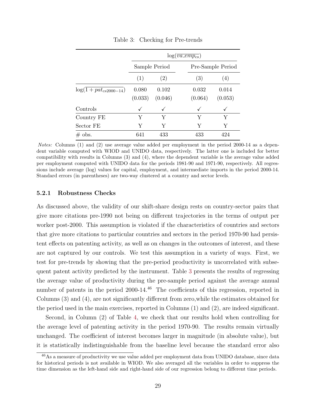<span id="page-29-0"></span>

|                            | $log(\overline{va\_emp_{cs}})$ |               |         |                   |  |  |
|----------------------------|--------------------------------|---------------|---------|-------------------|--|--|
|                            |                                | Sample Period |         | Pre-Sample Period |  |  |
|                            | (1)                            | (2)           | (3)     | (4)               |  |  |
| $log(1 + pat_{cs2000-14})$ | 0.080                          | 0.102         | 0.032   | 0.014             |  |  |
|                            | (0.033)                        | (0.046)       | (0.064) | (0.053)           |  |  |
| Controls                   | ✓                              |               | ✓       |                   |  |  |
| Country FE                 | Y                              | Y             | Y       | Y                 |  |  |
| Sector FE                  | Y                              | Y             | Y       | Υ                 |  |  |
| $\#$ obs.                  | 641                            | 433           | 433     | 424               |  |  |

Table 3: Checking for Pre-trends

Notes: Columns (1) and (2) use average value added per employment in the period 2000-14 as a dependent variable computed with WIOD and UNIDO data, respectively. The latter one is included for better compatibility with results in Columns (3) and (4), where the dependent variable is the average value added per employment computed with UNIDO data for the periods 1981-90 and 1971-90, respectively. All regressions include average (log) values for capital, employment, and intermediate imports in the period 2000-14. Standard errors (in parentheses) are two-way clustered at a country and sector levels.

#### 5.2.1 Robustness Checks

As discussed above, the validity of our shift-share design rests on country-sector pairs that give more citations pre-1990 not being on different trajectories in the terms of output per worker post-2000. This assumption is violated if the characteristics of countries and sectors that give more citations to particular countries and sectors in the period 1970-90 had persistent effects on patenting activity, as well as on changes in the outcomes of interest, and these are not captured by our controls. We test this assumption in a variety of ways. First, we test for pre-trends by showing that the pre-period productivity is uncorrelated with subsequent patent activity predicted by the instrument. Table 3 presents the results of regressing the average value of productivity during the pre-sample period against the average annual number of patents in the period 2000-14.<sup>46</sup> The coefficients of this regression, reported in Columns (3) and (4), are not significantly different from zero,while the estimates obtained for the period used in the main exercises, reported in Columns (1) and (2), are indeed significant.

Second, in Column (2) of Table [4,](#page-31-0) we check that our results hold when controlling for the average level of patenting activity in the period 1970-90. The results remain virtually unchanged. The coefficient of interest becomes larger in magnitude (in absolute value), but it is statistically indistinguishable from the baseline level because the standard error also

<sup>&</sup>lt;sup>46</sup>As a measure of productivity we use value added per employment data from UNIDO database, since data for historical periods is not available in WIOD. We also averaged all the variables in order to suppress the time dimension as the left-hand side and right-hand side of our regression belong to different time periods.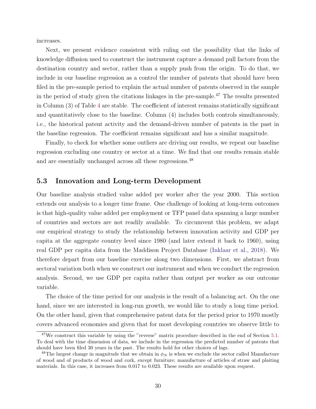<span id="page-30-0"></span>increases.

Next, we present evidence consistent with ruling out the possibility that the links of knowledge diffusion used to construct the instrument capture a demand pull factors from the destination country and sector, rather than a supply push from the origin. To do that, we include in our baseline regression as a control the number of patents that should have been filed in the pre-sample period to explain the actual number of patents observed in the sample in the period of study given the citations linkages in the pre-sample.<sup>47</sup> The results presented in Column (3) of Table [4](#page-31-0) are stable. The coefficient of interest remains statistically significant and quantitatively close to the baseline. Column (4) includes both controls simultaneously, i.e., the historical patent activity and the demand-driven number of patents in the past in the baseline regression. The coefficient remains significant and has a similar magnitude.

Finally, to check for whether some outliers are driving our results, we repeat our baseline regression excluding one country or sector at a time. We find that our results remain stable and are essentially unchanged across all these regressions.<sup>48</sup>

#### 5.3 Innovation and Long-term Development

Our baseline analysis studied value added per worker after the year 2000. This section extends our analysis to a longer time frame. One challenge of looking at long-term outcomes is that high-quality value added per employment or TFP panel data spanning a large number of countries and sectors are not readily available. To circumvent this problem, we adapt our empirical strategy to study the relationship between innovation activity and GDP per capita at the aggregate country level since 1980 (and later extend it back to 1960), using real GDP per capita data from the Maddison Project Database [\(Inklaar et al.,](#page-38-0) [2018\)](#page-38-0). We therefore depart from our baseline exercise along two dimensions. First, we abstract from sectoral variation both when we construct our instrument and when we conduct the regression analysis. Second, we use GDP per capita rather than output per worker as our outcome variable.

The choice of the time period for our analysis is the result of a balancing act. On the one hand, since we are interested in long-run growth, we would like to study a long time period. On the other hand, given that comprehensive patent data for the period prior to 1970 mostly covers advanced economies and given that for most developing countries we observe little to

<sup>&</sup>lt;sup>47</sup>We construct this variable by using the "reverse" matrix procedure described in the end of Section [5.1.](#page-18-0) To deal with the time dimension of data, we include in the regression the predicted number of patents that should have been filed 30 years in the past. The results hold for other choices of lags.

<sup>&</sup>lt;sup>48</sup>The largest change in magnitude that we obtain in  $\phi_N$  is when we exclude the sector called Manufacture of wood and of products of wood and cork, except furniture; manufacture of articles of straw and plaiting materials. In this case, it increases from 0.017 to 0.023. These results are available upon request.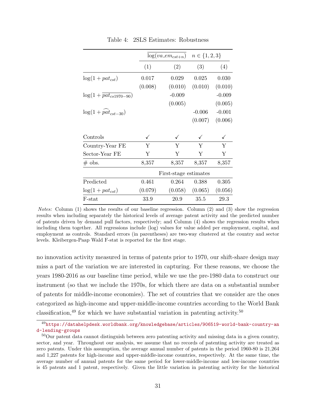<span id="page-31-0"></span>

|                                           | $log(va\_em_{cst+n})$ |                       | $n \in \{1, 2, 3\}$ |          |
|-------------------------------------------|-----------------------|-----------------------|---------------------|----------|
|                                           | (1)                   | (2)                   | (3)                 | (4)      |
| $log(1 + pat_{cst})$                      | 0.017                 | 0.029                 | 0.025               | 0.030    |
|                                           | (0.008)               | (0.010)               | (0.010)             | (0.010)  |
| $log(1 + pat_{cs1970-90})$                |                       | $-0.009$              |                     | $-0.009$ |
|                                           |                       | (0.005)               |                     | (0.005)  |
| $\log(1 + \widehat{\text{pat}}_{cst-30})$ |                       |                       | $-0.006$            | $-0.001$ |
|                                           |                       |                       | (0.007)             | (0.006)  |
| Controls                                  | ✓                     | ✓                     | ✓                   | ✓        |
| Country-Year FE                           | Y                     | Y                     | Y                   | Y        |
| Sector-Year FE                            | Υ                     | Y                     | Y                   | Y        |
| $\#$ obs.                                 | 8,357                 | 8,357                 | 8,357               | 8,357    |
|                                           |                       | First-stage estimates |                     |          |
| Predicted                                 | 0.461                 | 0.264                 | 0.388               | 0.305    |
| $log(1 + pat_{cst})$                      | (0.079)               | (0.058)               | (0.065)             | (0.056)  |
| F-stat                                    | 33.9                  | 20.9                  | 35.5                | 29.3     |

Table 4: 2SLS Estimates: Robustness

Notes: Column (1) shows the results of our baseline regression. Column (2) and (3) show the regression results when including separately the historical levels of average patent activity and the predicted number of patents driven by demand pull factors, respectively; and Column (4) shows the regression results when including them together. All regressions include (log) values for value added per employment, capital, and employment as controls. Standard errors (in parentheses) are two-way clustered at the country and sector levels. Kleibergen-Paap Wald F-stat is reported for the first stage.

no innovation activity measured in terms of patents prior to 1970, our shift-share design may miss a part of the variation we are interested in capturing. For these reasons, we choose the years 1980-2016 as our baseline time period, while we use the pre-1980 data to construct our instrument (so that we include the 1970s, for which there are data on a substantial number of patents for middle-income economies). The set of countries that we consider are the ones categorized as high-income and upper-middle-income countries according to the World Bank classification,<sup>49</sup> for which we have substantial variation in patenting activity.<sup>50</sup>

 $^{49}$ [https://datahelpdesk.worldbank.org/knowledgebase/articles/906519-world-bank-country-an](https://datahelpdesk.worldbank.org/knowledgebase/articles/906519-world-bank-country-and-lending-groups) [d-lending-groups](https://datahelpdesk.worldbank.org/knowledgebase/articles/906519-world-bank-country-and-lending-groups)

<sup>&</sup>lt;sup>50</sup>Our patent data cannot distinguish between zero patenting activity and missing data in a given country, sector, and year. Throughout our analysis, we assume that no records of patenting activity are treated as zero patents. Under this assumption, the average annual number of patents in the period 1960-80 is 21,264 and 1,227 patents for high-income and upper-middle-income countries, respectively. At the same time, the average number of annual patents for the same period for lower-middle-income and low-income countries is 45 patents and 1 patent, respectively. Given the little variation in patenting activity for the historical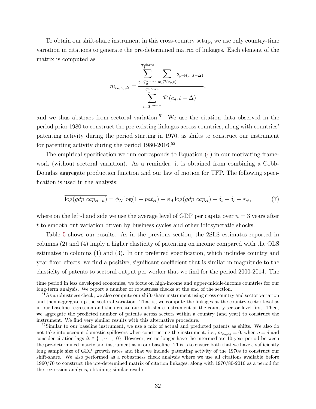<span id="page-32-0"></span>To obtain our shift-share instrument in this cross-country setup, we use only country-time variation in citations to generate the pre-determined matrix of linkages. Each element of the matrix is computed as

$$
m_{c_o,c_d,\Delta} = \frac{\sum_{t=T_0^{share}}^{T_1^{share}} \sum_{p \in \mathcal{P}(c_o,t)} s_{p \to (c_d,t-\Delta)}}{\sum_{t=T_0^{share}}^{T_1^{share}} |\mathcal{P}(c_d,t-\Delta)|},
$$

and we thus abstract from sectoral variation.<sup>51</sup> We use the citation data observed in the period prior 1980 to construct the pre-existing linkages across countries, along with countries' patenting activity during the period starting in 1970, as shifts to construct our instrument for patenting activity during the period  $1980-2016$ .<sup>52</sup>

The empirical specification we run corresponds to Equation [\(4\)](#page-17-0) in our motivating framework (without sectoral variation). As a reminder, it is obtained from combining a Cobb-Douglas aggregate production function and our law of motion for TFP. The following specification is used in the analysis:

$$
\log(gdp\_cap_{ct+n}) = \phi_N \log(1 + pat_{ct}) + \phi_A \log(gdp\_cap_{ct}) + \delta_t + \delta_c + \varepsilon_{ct},\tag{7}
$$

where on the left-hand side we use the average level of GDP per capita over  $n = 3$  years after t to smooth out variation driven by business cycles and other idiosyncratic shocks.

Table [5](#page-33-0) shows our results. As in the previous section, the 2SLS estimates reported in columns (2) and (4) imply a higher elasticity of patenting on income compared with the OLS estimates in columns (1) and (3). In our preferred specification, which includes country and year fixed effects, we find a positive, significant coefficient that is similar in magnitude to the elasticity of patents to sectoral output per worker that we find for the period 2000-2014. The

time period in less developed economies, we focus on high-income and upper-middle-income countries for our long-term analysis. We report a number of robustness checks at the end of the section.

<sup>&</sup>lt;sup>51</sup>As a robustness check, we also compute our shift-share instrument using cross country and sector variation and then aggregate up the sectoral variation. That is, we compute the linkages at the country-sector level as in our baseline regression and then create our shift-share instrument at the country-sector level first. Then, we aggregate the predicted number of patents across sectors within a country (and year) to construct the instrument. We find very similar results with this alternative procedure.

 $52$ Similar to our baseline instrument, we use a mix of actual and predicted patents as shifts. We also do not take into account domestic spillovers when constructing the instrument, i.e.,  $m_{c_o,c_d} = 0$ , when  $o = d$  and consider citation lags  $\Delta \in \{1, \dots, 10\}$ . However, we no longer have the intermediate 10-year period between the pre-determined matrix and instrument as in our baseline. This is to ensure both that we have a sufficiently long sample size of GDP growth rates and that we include patenting activity of the 1970s to construct our shift-share. We also performed as a robustness check analysis where we use all citations available before 1960/70 to construct the pre-determined matrix of citation linkages, along with 1970/80-2016 as a period for the regression analysis, obtaining similar results.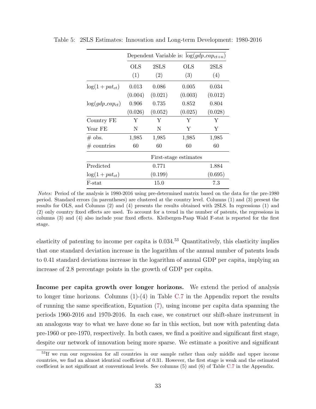|                      | Dependent Variable is: $log(gdp\_cap_{ct+n})$ |         |              |         |  |  |  |
|----------------------|-----------------------------------------------|---------|--------------|---------|--|--|--|
|                      | OLS                                           | 2SLS    | $_{\rm OLS}$ | 2SLS    |  |  |  |
|                      | (1)                                           | (2)     | (3)          | (4)     |  |  |  |
| $log(1 + pat_{ct})$  | 0.013                                         | 0.086   | 0.005        | 0.034   |  |  |  |
|                      | (0.004)                                       | (0.021) | (0.003)      | (0.012) |  |  |  |
| $log(gdp\_cap_{ct})$ | 0.906                                         | 0.735   | 0.852        | 0.804   |  |  |  |
|                      | (0.026)                                       | (0.052) | (0.025)      | (0.028) |  |  |  |
| Country FE           | Y                                             | Y       | Y            | Υ       |  |  |  |
| Year FE              | N                                             | N       | Y            | Y       |  |  |  |
| $\#$ obs.            | 1,985                                         | 1,985   | 1,985        | 1,985   |  |  |  |
| $#$ countries        | 60                                            | 60      | 60           | 60      |  |  |  |
|                      | First-stage estimates                         |         |              |         |  |  |  |
| Predicted            | 0.771<br>1.884                                |         |              |         |  |  |  |
| $log(1 + pat_{ct})$  | (0.199)<br>(0.695)                            |         |              |         |  |  |  |
| F-stat               | 15.0<br>7.3                                   |         |              |         |  |  |  |

<span id="page-33-0"></span>Table 5: 2SLS Estimates: Innovation and Long-term Development: 1980-2016

Notes: Period of the analysis is 1980-2016 using pre-determined matrix based on the data for the pre-1980 period. Standard errors (in parentheses) are clustered at the country level. Columns (1) and (3) present the results for OLS, and Columns (2) and (4) presents the results obtained with 2SLS. In regressions (1) and (2) only country fixed effects are used. To account for a trend in the number of patents, the regressions in columns (3) and (4) also include year fixed effects. Kleibergen-Paap Wald F-stat is reported for the first stage.

elasticity of patenting to income per capita is  $0.034<sup>53</sup>$  Quantitatively, this elasticity implies that one standard deviation increase in the logarithm of the annual number of patents leads to 0.41 standard deviations increase in the logarithm of annual GDP per capita, implying an increase of 2.8 percentage points in the growth of GDP per capita.

Income per capita growth over longer horizons. We extend the period of analysis to longer time horizons. Columns  $(1)-(4)$  in Table [C.7](#page-1-0) in the Appendix report the results of running the same specification, Equation [\(7\)](#page-32-0), using income per capita data spanning the periods 1960-2016 and 1970-2016. In each case, we construct our shift-share instrument in an analogous way to what we have done so far in this section, but now with patenting data pre-1960 or pre-1970, respectively. In both cases, we find a positive and significant first stage, despite our network of innovation being more sparse. We estimate a positive and significant

<sup>&</sup>lt;sup>53</sup>If we run our regression for all countries in our sample rather than only middle and upper income countries, we find an almost identical coefficient of 0.31. However, the first stage is weak and the estimated coefficient is not significant at conventional levels. See columns (5) and (6) of Table [C.7](#page-1-0) in the Appendix.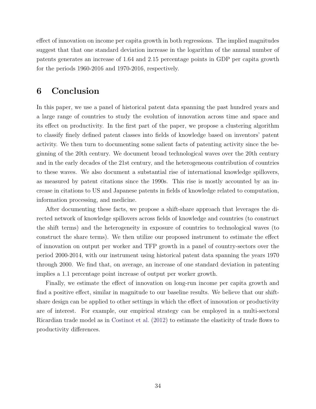effect of innovation on income per capita growth in both regressions. The implied magnitudes suggest that that one standard deviation increase in the logarithm of the annual number of patents generates an increase of 1.64 and 2.15 percentage points in GDP per capita growth for the periods 1960-2016 and 1970-2016, respectively.

### 6 Conclusion

In this paper, we use a panel of historical patent data spanning the past hundred years and a large range of countries to study the evolution of innovation across time and space and its effect on productivity. In the first part of the paper, we propose a clustering algorithm to classify finely defined patent classes into fields of knowledge based on inventors' patent activity. We then turn to documenting some salient facts of patenting activity since the beginning of the 20th century. We document broad technological waves over the 20th century and in the early decades of the 21st century, and the heterogeneous contribution of countries to these waves. We also document a substantial rise of international knowledge spillovers, as measured by patent citations since the 1990s. This rise is mostly accounted by an increase in citations to US and Japanese patents in fields of knowledge related to computation, information processing, and medicine.

After documenting these facts, we propose a shift-share approach that leverages the directed network of knowledge spillovers across fields of knowledge and countries (to construct the shift terms) and the heterogeneity in exposure of countries to technological waves (to construct the share terms). We then utilize our proposed instrument to estimate the effect of innovation on output per worker and TFP growth in a panel of country-sectors over the period 2000-2014, with our instrument using historical patent data spanning the years 1970 through 2000. We find that, on average, an increase of one standard deviation in patenting implies a 1.1 percentage point increase of output per worker growth.

Finally, we estimate the effect of innovation on long-run income per capita growth and find a positive effect, similar in magnitude to our baseline results. We believe that our shiftshare design can be applied to other settings in which the effect of innovation or productivity are of interest. For example, our empirical strategy can be employed in a multi-sectoral Ricardian trade model as in [Costinot et al.](#page-37-0) [\(2012\)](#page-37-0) to estimate the elasticity of trade flows to productivity differences.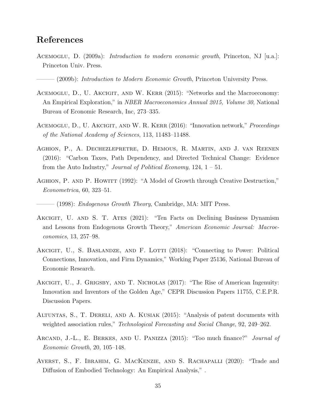### <span id="page-35-0"></span>References

ACEMOGLU, D.  $(2009a)$ : *Introduction to modern economic growth*, Princeton, NJ [u.a.]: Princeton Univ. Press.

(2009b): Introduction to Modern Economic Growth, Princeton University Press.

- ACEMOGLU, D., U. AKCIGIT, AND W. KERR (2015): "Networks and the Macroeconomy: An Empirical Exploration," in NBER Macroeconomics Annual 2015, Volume 30, National Bureau of Economic Research, Inc, 273–335.
- ACEMOGLU, D., U. AKCIGIT, AND W. R. KERR (2016): "Innovation network," *Proceedings* of the National Academy of Sciences, 113, 11483–11488.
- Aghion, P., A. Dechezlepretre, D. Hemous, R. Martin, and J. van Reenen (2016): "Carbon Taxes, Path Dependency, and Directed Technical Change: Evidence from the Auto Industry," Journal of Political Economy,  $124$ ,  $1 - 51$ .
- AGHION, P. AND P. HOWITT (1992): "A Model of Growth through Creative Destruction," Econometrica, 60, 323–51.

- (1998): *Endogenous Growth Theory*, Cambridge, MA: MIT Press.

- AKCIGIT, U. AND S. T. ATES (2021): "Ten Facts on Declining Business Dynamism and Lessons from Endogenous Growth Theory," American Economic Journal: Macroeconomics, 13, 257–98.
- AKCIGIT, U., S. BASLANDZE, AND F. LOTTI (2018): "Connecting to Power: Political Connections, Innovation, and Firm Dynamics," Working Paper 25136, National Bureau of Economic Research.
- AKCIGIT, U., J. GRIGSBY, AND T. NICHOLAS (2017): "The Rise of American Ingenuity: Innovation and Inventors of the Golden Age," CEPR Discussion Papers 11755, C.E.P.R. Discussion Papers.
- ALTUNTAS, S., T. DERELI, AND A. KUSIAK (2015): "Analysis of patent documents with weighted association rules," *Technological Forecasting and Social Change*, 92, 249–262.
- ARCAND, J.-L., E. BERKES, AND U. PANIZZA (2015): "Too much finance?" *Journal of* Economic Growth, 20, 105–148.
- Ayerst, S., F. Ibrahim, G. MacKenzie, and S. Rachapalli (2020): "Trade and Diffusion of Embodied Technology: An Empirical Analysis," .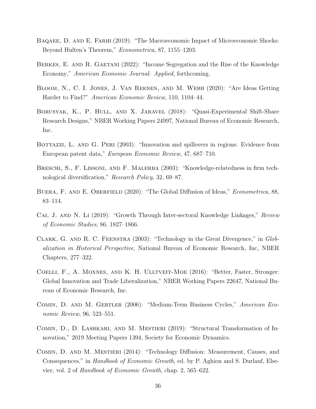- <span id="page-36-0"></span>BAQAEE, D. AND E. FARHI (2019): "The Macroeconomic Impact of Microeconomic Shocks: Beyond Hulten's Theorem," Econometrica, 87, 1155–1203.
- BERKES, E. AND R. GAETANI (2022): "Income Segregation and the Rise of the Knowledge Economy," American Economic Journal: Applied, forthcoming.
- Bloom, N., C. I. Jones, J. Van Reenen, and M. Webb (2020): "Are Ideas Getting Harder to Find?" American Economic Review, 110, 1104–44.
- Borusyak, K., P. Hull, and X. Jaravel (2018): "Quasi-Experimental Shift-Share Research Designs," NBER Working Papers 24997, National Bureau of Economic Research, Inc.
- BOTTAZZI, L. AND G. PERI (2003): "Innovation and spillovers in regions: Evidence from European patent data," European Economic Review, 47, 687–710.
- BRESCHI, S., F. LISSONI, AND F. MALERBA (2003): "Knowledge-relatedness in firm technological diversification," Research Policy, 32, 69–87.
- BUERA, F. AND E. OBERFIELD (2020): "The Global Diffusion of Ideas," *Econometrica*, 88, 83–114.
- Cai, J. and N. Li (2019): "Growth Through Inter-sectoral Knowledge Linkages," Review of Economic Studies, 86, 1827–1866.
- Clark, G. and R. C. Feenstra (2003): "Technology in the Great Divergence," in Globalization in Historical Perspective, National Bureau of Economic Research, Inc, NBER Chapters, 277–322.
- Coelli, F., A. Moxnes, and K. H. Ulltveit-Moe (2016): "Better, Faster, Stronger: Global Innovation and Trade Liberalization," NBER Working Papers 22647, National Bureau of Economic Research, Inc.
- Comin, D. and M. Gertler (2006): "Medium-Term Business Cycles," American Economic Review, 96, 523–551.
- Comin, D., D. Lashkari, and M. Mestieri (2019): "Structural Transformation of Innovation," 2019 Meeting Papers 1394, Society for Economic Dynamics.
- Comin, D. and M. Mestieri (2014): "Technology Diffusion: Measurement, Causes, and Consequences," in *Handbook of Economic Growth*, ed. by P. Aghion and S. Durlauf, Elsevier, vol. 2 of Handbook of Economic Growth, chap. 2, 565–622.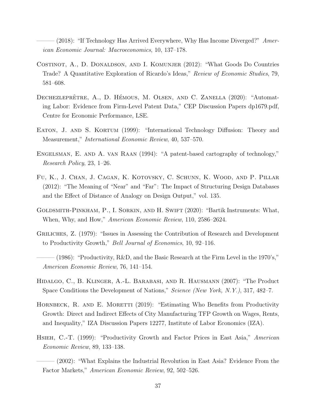- <span id="page-37-0"></span> $(2018)$ : "If Technology Has Arrived Everywhere, Why Has Income Diverged?" American Economic Journal: Macroeconomics, 10, 137–178.
- Costinot, A., D. Donaldson, and I. Komunjer (2012): "What Goods Do Countries Trade? A Quantitative Exploration of Ricardo's Ideas," Review of Economic Studies, 79, 581–608.
- DECHEZLEPRÊTRE, A., D. HÉMOUS, M. OLSEN, AND C. ZANELLA (2020): "Automating Labor: Evidence from Firm-Level Patent Data," CEP Discussion Papers dp1679.pdf, Centre for Economic Performance, LSE.
- EATON, J. AND S. KORTUM (1999): "International Technology Diffusion: Theory and Measurement," International Economic Review, 40, 537–570.
- Engelsman, E. and A. van Raan (1994): "A patent-based cartography of technology," Research Policy, 23, 1–26.
- Fu, K., J. Chan, J. Cagan, K. Kotovsky, C. Schunn, K. Wood, and P. Pillar (2012): "The Meaning of "Near" and "Far": The Impact of Structuring Design Databases and the Effect of Distance of Analogy on Design Output," vol. 135.
- Goldsmith-Pinkham, P., I. Sorkin, and H. Swift (2020): "Bartik Instruments: What, When, Why, and How," American Economic Review, 110, 2586–2624.
- GRILICHES, Z. (1979): "Issues in Assessing the Contribution of Research and Development to Productivity Growth," Bell Journal of Economics, 10, 92–116.
- (1986): "Productivity,  $R\&D$ , and the Basic Research at the Firm Level in the 1970's," American Economic Review, 76, 141–154.
- Hidalgo, C., B. Klinger, A.-L. Barabasi, and R. Hausmann (2007): "The Product Space Conditions the Development of Nations," Science (New York, N.Y.), 317, 482–7.
- HORNBECK, R. AND E. MORETTI (2019): "Estimating Who Benefits from Productivity Growth: Direct and Indirect Effects of City Manufacturing TFP Growth on Wages, Rents, and Inequality," IZA Discussion Papers 12277, Institute of Labor Economics (IZA).
- HSIEH, C.-T. (1999): "Productivity Growth and Factor Prices in East Asia," American Economic Review, 89, 133–138.
	- $(2002)$ : "What Explains the Industrial Revolution in East Asia? Evidence From the Factor Markets," American Economic Review, 92, 502–526.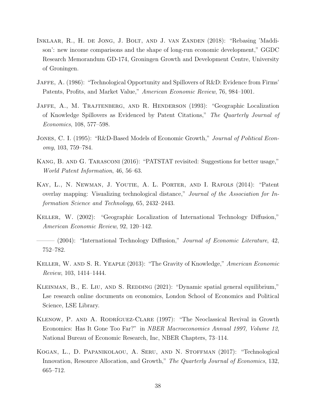- <span id="page-38-0"></span>Inklaar, R., H. de Jong, J. Bolt, and J. van Zanden (2018): "Rebasing 'Maddison': new income comparisons and the shape of long-run economic development," GGDC Research Memorandum GD-174, Groningen Growth and Development Centre, University of Groningen.
- Jaffe, A. (1986): "Technological Opportunity and Spillovers of R&D: Evidence from Firms' Patents, Profits, and Market Value," American Economic Review, 76, 984–1001.
- JAFFE, A., M. TRAJTENBERG, AND R. HENDERSON (1993): "Geographic Localization of Knowledge Spillovers as Evidenced by Patent Citations," The Quarterly Journal of Economics, 108, 577–598.
- JONES, C. I. (1995): "R&D-Based Models of Economic Growth," Journal of Political Economy, 103, 759–784.
- Kang, B. and G. Tarasconi (2016): "PATSTAT revisited: Suggestions for better usage," World Patent Information, 46, 56–63.
- Kay, L., N. Newman, J. Youtie, A. L. Porter, and I. Rafols (2014): "Patent overlay mapping: Visualizing technological distance," Journal of the Association for Information Science and Technology, 65, 2432–2443.
- Keller, W. (2002): "Geographic Localization of International Technology Diffusion," American Economic Review, 92, 120–142.
- $-$  (2004): "International Technology Diffusion," Journal of Economic Literature, 42, 752–782.
- Keller, W. and S. R. Yeaple (2013): "The Gravity of Knowledge," American Economic Review, 103, 1414–1444.
- KLEINMAN, B., E. LIU, AND S. REDDING (2021): "Dynamic spatial general equilibrium," Lse research online documents on economics, London School of Economics and Political Science, LSE Library.
- KLENOW, P. AND A. RODRÍGUEZ-CLARE (1997): "The Neoclassical Revival in Growth Economics: Has It Gone Too Far?" in NBER Macroeconomics Annual 1997, Volume 12, National Bureau of Economic Research, Inc, NBER Chapters, 73–114.
- Kogan, L., D. Papanikolaou, A. Seru, and N. Stoffman (2017): "Technological Innovation, Resource Allocation, and Growth," The Quarterly Journal of Economics, 132, 665–712.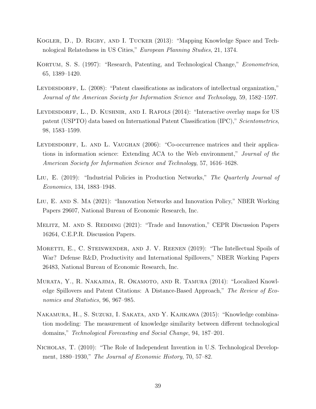- <span id="page-39-0"></span>Kogler, D., D. Rigby, and I. Tucker (2013): "Mapping Knowledge Space and Technological Relatedness in US Cities," European Planning Studies, 21, 1374.
- KORTUM, S. S. (1997): "Research, Patenting, and Technological Change," *Econometrica*, 65, 1389–1420.
- LEYDESDORFF, L. (2008): "Patent classifications as indicators of intellectual organization," Journal of the American Society for Information Science and Technology, 59, 1582–1597.
- LEYDESDORFF, L., D. KUSHNIR, AND I. RAFOLS (2014): "Interactive overlay maps for US patent (USPTO) data based on International Patent Classification (IPC)," Scientometrics, 98, 1583–1599.
- LEYDESDORFF, L. AND L. VAUGHAN (2006): "Co-occurrence matrices and their applications in information science: Extending ACA to the Web environment," Journal of the American Society for Information Science and Technology, 57, 1616–1628.
- LIU, E. (2019): "Industrial Policies in Production Networks," The Quarterly Journal of Economics, 134, 1883–1948.
- Liu, E. and S. Ma (2021): "Innovation Networks and Innovation Policy," NBER Working Papers 29607, National Bureau of Economic Research, Inc.
- MELITZ, M. AND S. REDDING (2021): "Trade and Innovation," CEPR Discussion Papers 16264, C.E.P.R. Discussion Papers.
- MORETTI, E., C. STEINWENDER, AND J. V. REENEN (2019): "The Intellectual Spoils of War? Defense R&D, Productivity and International Spillovers," NBER Working Papers 26483, National Bureau of Economic Research, Inc.
- Murata, Y., R. Nakajima, R. Okamoto, and R. Tamura (2014): "Localized Knowledge Spillovers and Patent Citations: A Distance-Based Approach," The Review of Economics and Statistics, 96, 967–985.
- Nakamura, H., S. Suzuki, I. Sakata, and Y. Kajikawa (2015): "Knowledge combination modeling: The measurement of knowledge similarity between different technological domains," Technological Forecasting and Social Change, 94, 187–201.
- Nicholas, T. (2010): "The Role of Independent Invention in U.S. Technological Development, 1880–1930," The Journal of Economic History, 70, 57–82.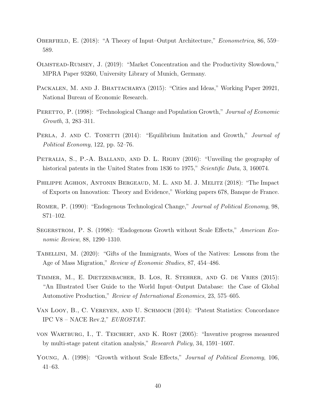- <span id="page-40-0"></span>OBERFIELD, E. (2018): "A Theory of Input–Output Architecture," *Econometrica*, 86, 559– 589.
- Olmstead-Rumsey, J. (2019): "Market Concentration and the Productivity Slowdown," MPRA Paper 93260, University Library of Munich, Germany.
- PACKALEN, M. AND J. BHATTACHARYA (2015): "Cities and Ideas," Working Paper 20921, National Bureau of Economic Research.
- PERETTO, P. (1998): "Technological Change and Population Growth," Journal of Economic Growth, 3, 283–311.
- PERLA, J. AND C. TONETTI (2014): "Equilibrium Imitation and Growth," Journal of Political Economy, 122, pp. 52–76.
- PETRALIA, S., P.-A. BALLAND, AND D. L. RIGBY (2016): "Unveiling the geography of historical patents in the United States from 1836 to 1975," Scientific Data, 3, 160074.
- Philippe Aghion, Antonin Bergeaud, M. L. and M. J. Melitz (2018): "The Impact of Exports on Innovation: Theory and Evidence," Working papers 678, Banque de France.
- ROMER, P. (1990): "Endogenous Technological Change," Journal of Political Economy, 98, S71–102.
- Segerstrom, P. S. (1998): "Endogenous Growth without Scale Effects," American Economic Review, 88, 1290–1310.
- TABELLINI, M. (2020): "Gifts of the Immigrants, Woes of the Natives: Lessons from the Age of Mass Migration," Review of Economic Studies, 87, 454–486.
- Timmer, M., E. Dietzenbacher, B. Los, R. Stehrer, and G. de Vries (2015): "An Illustrated User Guide to the World Input–Output Database: the Case of Global Automotive Production," Review of International Economics, 23, 575–605.
- Van Looy, B., C. Vereyen, and U. Schmoch (2014): "Patent Statistics: Concordance IPC V8 – NACE Rev.2," EUROSTAT.
- von Wartburg, I., T. Teichert, and K. Rost (2005): "Inventive progress measured by multi-stage patent citation analysis," Research Policy, 34, 1591–1607.
- YOUNG, A. (1998): "Growth without Scale Effects," Journal of Political Economy, 106, 41–63.